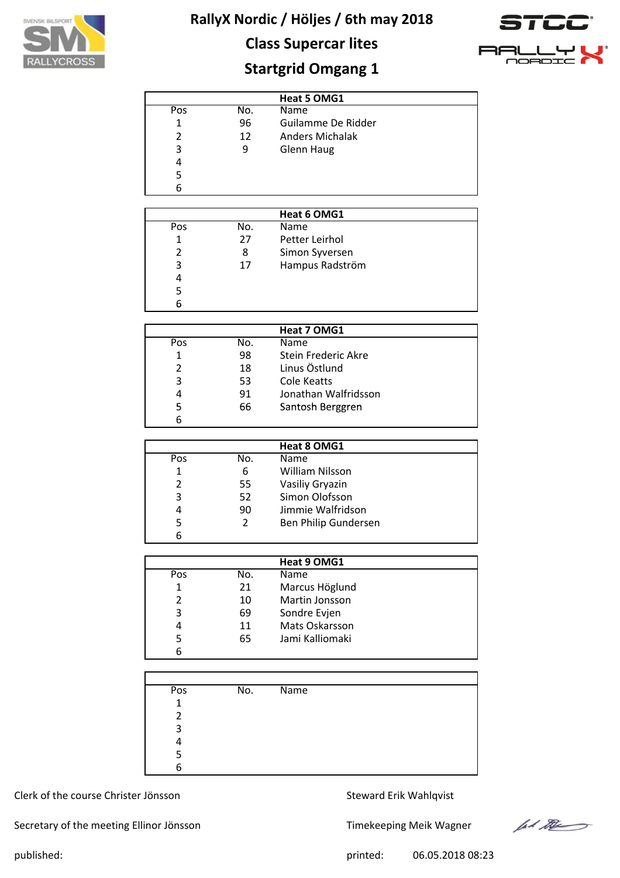

## **Class Supercar lites**



## **Startgrid Omgang 1**

|     |     | Heat 5 OMG1            |
|-----|-----|------------------------|
| Pos | No. | <b>Name</b>            |
| 1   | 96  | Guilamme De Ridder     |
| 2   | 12  | <b>Anders Michalak</b> |
| 3   | 9   | <b>Glenn Haug</b>      |
| 4   |     |                        |
| 5   |     |                        |
| 6   |     |                        |

|     |     | Heat 6 OMG1     |  |
|-----|-----|-----------------|--|
| Pos | No. | Name            |  |
|     | 27  | Petter Leirhol  |  |
|     | 8   | Simon Syversen  |  |
| 3   | 17  | Hampus Radström |  |
| 4   |     |                 |  |
|     |     |                 |  |
| h   |     |                 |  |

|     |     | Heat 7 OMG1          |  |
|-----|-----|----------------------|--|
| Pos | No. | Name                 |  |
| 1   | 98  | Stein Frederic Akre  |  |
| 2   | 18  | Linus Östlund        |  |
| 3   | 53  | Cole Keatts          |  |
| 4   | 91  | Jonathan Walfridsson |  |
| 5   | 66  | Santosh Berggren     |  |
|     |     |                      |  |

|     |     | Heat 8 OMG1          |
|-----|-----|----------------------|
| Pos | No. | Name                 |
| 1   | 6   | William Nilsson      |
| 2   | 55  | Vasiliy Gryazin      |
| 3   | 52  | Simon Olofsson       |
| 4   | 90  | Jimmie Walfridson    |
| 5   | 2   | Ben Philip Gundersen |
| 6   |     |                      |

|     |     | Heat 9 OMG1     |  |
|-----|-----|-----------------|--|
| Pos | No. | <b>Name</b>     |  |
|     | 21  | Marcus Höglund  |  |
| 2   | 10  | Martin Jonsson  |  |
| 3   | 69  | Sondre Evjen    |  |
| 4   | 11  | Mats Oskarsson  |  |
|     | 65  | Jami Kalliomaki |  |
| 6   |     |                 |  |

| Pos | No. | Name |
|-----|-----|------|
| 1   |     |      |
| 2   |     |      |
| 3   |     |      |
|     |     |      |
| 5   |     |      |
| Բ   |     |      |

### Clerk of the course Christer Jönsson Steward Erik Wahlqvist

Secretary of the meeting Ellinor Jönsson Timekeeping Meik Wagner



published: 06.05.2018 08:23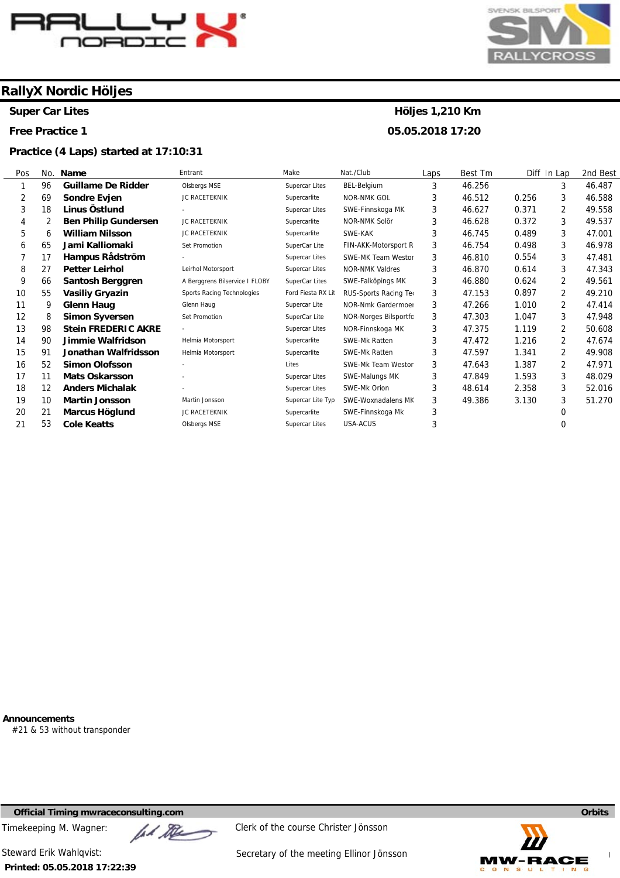

**Super Car Lites** 

**Free Practice 1** 

#### **Practice (4 Laps) started at 17:10:31**



### **Höljes 1,210 Km 05.05.2018 17:20**

Pos 1 2 3 4 5 6 7 8 9 10 11 12 13 14 15 16 17 18 19 20 21 No. 96 69 18 2 6 65 17 27 66 55 9 8 98  $9<sub>0</sub>$ **91** 52 11 12 10 21 53 **Name Guillame De Ridder Sondre Evjen Linus Östlund Ben Philip Gundersen William Nilsson Jami Kalliomaki Hampus Rådström Petter Leirhol Santosh Berggren Vasiliy Gryazin Glenn Haug Simon Syversen Stein FREDERIC AKRE Jimmie Walfridson Jonathan Walfridsson Simon Olofsson Mats Oskarsson Anders Michalak Martin Jonsson Marcus Höglund Cole Keatts**  Entrant Olsbergs MSE JC RACETEKNIK - JC RACETEKNIK JC RACETEKNIK Set Promotion - Leirhol Motorsport A Berggrens Bilservice I FLOBY Sports Racing Technologies Glenn Haug Set Promotion - Helmia Motorsport Helmia Motorsport - - - Martin Jonsson JC RACETEKNIK Olsbergs MSE Make Supercar Lites **Supercarlite** Supercar Lites Supercarlite Supercarlite SuperCar Lite Supercar Lites Supercar Lites SuperCar Lites Ford Fiesta RX Lit RUS-Sports Racing Tec Supercar Lite SuperCar Lite Supercar Lites **Supercarlite Supercarlite** Lites Supercar Lites Supercar Lites Supercar Lite Typ Supercarlite Supercar Lites Nat./Club BEL-Belgium NOR-NMK GOL SWE-Finnskoga MK NOR-NMK Solör SWE-KAK FIN-AKK-Motorsport R SWE-MK Team Westor NOR-NMK Valdres SWE-Falköpings MK NOR-Nmk Gardermoen NOR-Norges Bilsportfo NOR-Finnskoga MK SWE-Mk Ratten SWE-Mk Ratten SWE-Mk Team Weston SWE-Malungs MK SWE-Mk Orion SWE-Woxnadalens MK SWE-Finnskoga Mk USA-ACUS Laps 3 3 3 3 3 3 3 3 3 3 3 3 3 3 3 3 3 3 3 3 3 Best Tm 46.256 46.512 46.627 46.628 46.745 46.754 46.810 46.870 46.880 47.153 47.266 47.303 47.375 47.472 47.597 47.643 47.849 48.614 49.386 Diff In Lap 0.256 0.371 0.372 0.489 0.498 0.554 0.614 0.624 0.897 1.010 1.047 1.119 1.216 1.341 1.387 1.593 2.358 3.130 3 3 2 3 3 3 3 3 2 2 2 3 2 2 2  $\overline{2}$ 3 3 3 0 0 2nd Best 46.487 46.588 49.558 49.537 47.001 46.978 47.481 47.343 49.561 49.210 47.414 47.948 50.608 47.674 49.908 47.971 48.029 52.016 51.270

**Announcements** 

#21 & 53 without transponder

**Official Timing mwraceconsulting.com Orbits** 

Timekeeping M. Wagner:  $\mathbb{Z}$   $\mathbb{Z}$  Clerk of the course Christer Jönsson

**Printed: 05.05.2018 17:22:39** 

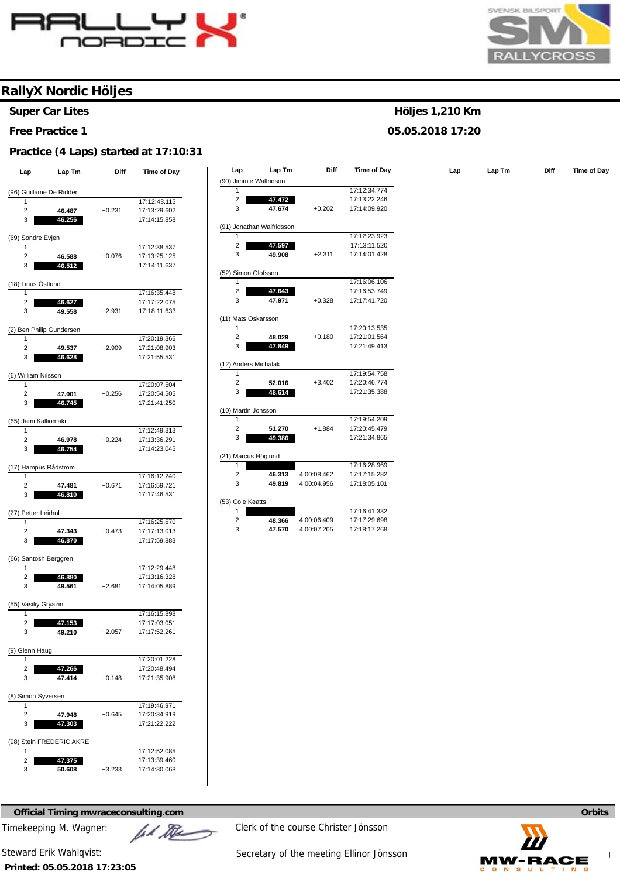



**Super Car Lites** 

#### **Free Practice 1**

#### **Practice (4 Laps) started at 17:10:31**

| Lap                           | Lap Tm                   | Diff     | Time of Day                  |
|-------------------------------|--------------------------|----------|------------------------------|
|                               |                          |          |                              |
| (96) Guillame De Ridder       |                          |          |                              |
| 1                             |                          |          | 17:12:43.115                 |
| 2<br>3                        | 46.487                   | $+0.231$ | 17:13:29.602<br>17:14:15.858 |
|                               | 46.256                   |          |                              |
| (69) Sondre Evjen             |                          |          |                              |
| 1                             |                          |          | 17:12:38.537                 |
| 2                             | 46.588                   | $+0.076$ | 17:13:25.125                 |
| 3                             | 46.512                   |          | 17:14:11.637                 |
| (18) Linus Östlund            |                          |          |                              |
| 1                             |                          |          | 17:16:35.448                 |
| 2                             | 46.627                   |          | 17:17:22.075                 |
| 3                             | 49.558                   | $+2.931$ | 17:18:11.633                 |
|                               |                          |          |                              |
| (2) Ben Philip Gundersen<br>1 |                          |          | 17:20:19.366                 |
| 2                             | 49.537                   | $+2.909$ | 17:21:08.903                 |
| 3                             | 46.628                   |          | 17:21:55.531                 |
|                               |                          |          |                              |
| (6) William Nilsson           |                          |          |                              |
| 1                             |                          |          | 17:20:07.504                 |
| $\overline{c}$                | 47.001                   | $+0.256$ | 17:20:54.505                 |
| 3                             | 46.745                   |          | 17:21:41.250                 |
| (65) Jami Kalliomaki          |                          |          |                              |
| 1                             |                          |          | 17:12:49.313                 |
| 2                             | 46.978                   | $+0.224$ | 17:13:36.291                 |
| 3                             | 46.754                   |          | 17:14:23.045                 |
|                               |                          |          |                              |
| (17) Hampus Rådström          |                          |          |                              |
| 1                             |                          |          | 17:16:12.240                 |
| 2                             | 47.481                   | $+0.671$ | 17:16:59.721                 |
| 3                             | 46.810                   |          | 17:17:46.531                 |
| (27) Petter Leirhol           |                          |          |                              |
| 1                             |                          |          | 17:16:25.670                 |
| $\overline{c}$                | 47.343                   | $+0.473$ | 17:17:13.013                 |
| 3                             | 46.870                   |          | 17:17:59.883                 |
|                               |                          |          |                              |
| (66) Santosh Berggren<br>1    |                          |          | 17:12:29.448                 |
| $\overline{2}$                | 46.880                   |          | 17:13:16.328                 |
| 3                             | 49.561                   | $+2.681$ | 17:14:05.889                 |
|                               |                          |          |                              |
| (55) Vasiliy Gryazin          |                          |          |                              |
| 1                             |                          |          | 17:16:15.898                 |
| 2                             | 47.153                   |          | 17:17:03.051                 |
| 3                             | 49.210                   | $+2.057$ | 17:17:52.261                 |
|                               |                          |          |                              |
| (9) Glenn Haug<br>1           |                          |          | 17:20:01.228                 |
| 2                             | 47.266                   |          | 17:20:48.494                 |
| 3                             | 47.414                   | $+0.148$ | 17:21:35.908                 |
|                               |                          |          |                              |
| (8) Simon Syversen            |                          |          |                              |
| 1                             |                          |          | 17:19:46.971                 |
| 2                             | 47.948                   | +0.645   | 17:20:34.919                 |
| 3                             | 47.303                   |          | 17:21:22.222                 |
|                               | (98) Stein FREDERIC AKRE |          |                              |
| 1                             |                          |          | 17:12:52.085                 |
| 2                             | 47.375                   |          | 17:13:39.460                 |
| 3                             | 50.608                   | $+3.233$ | 17:14:30.068                 |
|                               |                          |          |                              |

| Lap             | Lap Tm               | Diff     | Time of Day  | Lap                     | Lap Tm                    | Diff        | Time of Day  | Lap | Lap Tm | <b>Diff</b> | Time of Day |
|-----------------|----------------------|----------|--------------|-------------------------|---------------------------|-------------|--------------|-----|--------|-------------|-------------|
|                 |                      |          |              | (90) Jimmie Walfridson  |                           |             |              |     |        |             |             |
|                 | Guillame De Ridder   |          |              | 1                       |                           |             | 17:12:34.774 |     |        |             |             |
| $\overline{1}$  |                      |          | 17:12:43.115 | 2                       | 47.472                    |             | 17:13:22.246 |     |        |             |             |
| 2               | 46.487               | $+0.231$ | 17:13:29.602 | 3                       | 47.674                    | $+0.202$    | 17:14:09.920 |     |        |             |             |
| 3               | 46.256               |          | 17:14:15.858 |                         |                           |             |              |     |        |             |             |
|                 |                      |          |              |                         | (91) Jonathan Walfridsson |             |              |     |        |             |             |
| Sondre Evjen    |                      |          |              |                         |                           |             | 17:12:23.923 |     |        |             |             |
| $\overline{1}$  |                      |          | 17:12:38.537 | $\overline{\mathbf{c}}$ | 47.597                    |             | 17:13:11.520 |     |        |             |             |
| 2               | 46.588               | $+0.076$ | 17:13:25.125 | 3                       | 49.908                    | $+2.311$    | 17:14:01.428 |     |        |             |             |
| 3               | 46.512               |          | 17:14:11.637 |                         |                           |             |              |     |        |             |             |
|                 |                      |          |              | (52) Simon Olofsson     |                           |             |              |     |        |             |             |
| Linus Östlund   |                      |          |              | $\mathbf{1}$            |                           |             | 17:16:06.106 |     |        |             |             |
| $\overline{1}$  |                      |          | 17:16:35.448 | $\overline{\mathbf{c}}$ | 47.643                    |             | 17:16:53.749 |     |        |             |             |
| $\overline{c}$  | 46.627               |          | 17:17:22.075 | 3                       | 47.971                    | $+0.328$    | 17:17:41.720 |     |        |             |             |
| 3               | 49.558               | $+2.931$ | 17:18:11.633 |                         |                           |             |              |     |        |             |             |
|                 |                      |          |              | (11) Mats Oskarsson     |                           |             |              |     |        |             |             |
|                 | Ben Philip Gundersen |          |              | $\mathbf{1}$            |                           |             | 17:20:13.535 |     |        |             |             |
| $\overline{1}$  |                      |          | 17:20:19.366 | 2                       | 48.029                    | $+0.180$    | 17:21:01.564 |     |        |             |             |
| $\overline{2}$  | 49.537               | $+2.909$ | 17:21:08.903 | 3                       | 47.849                    |             | 17:21:49.413 |     |        |             |             |
| 3               | 46.628               |          | 17:21:55.531 |                         |                           |             |              |     |        |             |             |
|                 |                      |          |              | (12) Anders Michalak    |                           |             | 17:19:54.758 |     |        |             |             |
| Villiam Nilsson |                      |          |              | $\mathbf{1}$            |                           |             | 17:20:46.774 |     |        |             |             |
| $\overline{1}$  |                      |          | 17:20:07.504 | $\overline{2}$<br>3     | 52.016<br>48.614          | $+3.402$    | 17:21:35.388 |     |        |             |             |
| 2               | 47.001               | $+0.256$ | 17:20:54.505 |                         |                           |             |              |     |        |             |             |
| 3               | 46.745               |          | 17:21:41.250 | (10) Martin Jonsson     |                           |             |              |     |        |             |             |
|                 |                      |          |              | 1                       |                           |             | 17:19:54.209 |     |        |             |             |
|                 | Jami Kalliomaki      |          |              | $\overline{2}$          | 51.270                    | $+1.884$    | 17:20:45.479 |     |        |             |             |
| $\overline{1}$  |                      |          | 17:12:49.313 | 3                       | 49.386                    |             | 17:21:34.865 |     |        |             |             |
| $\overline{c}$  | 46.978               | $+0.224$ | 17:13:36.291 |                         |                           |             |              |     |        |             |             |
| 3               | 46.754               |          | 17:14:23.045 | (21) Marcus Höglund     |                           |             |              |     |        |             |             |
|                 |                      |          |              | 1                       |                           |             | 17:16:28.969 |     |        |             |             |
| $\overline{1}$  | Hampus Rådström      |          | 17:16:12.240 | $\overline{2}$          | 46.313                    | 4:00:08.462 | 17:17:15.282 |     |        |             |             |
| $\overline{2}$  | 47.481               | $+0.671$ | 17:16:59.721 | 3                       | 49.819                    | 4:00:04.956 | 17:18:05.101 |     |        |             |             |
| 3               | 46.810               |          | 17:17:46.531 |                         |                           |             |              |     |        |             |             |
|                 |                      |          |              | (53) Cole Keatts        |                           |             |              |     |        |             |             |
| Petter Leirhol  |                      |          |              | 1                       |                           |             | 17:16:41.332 |     |        |             |             |
| $\overline{1}$  |                      |          | 17:16:25.670 | $\overline{2}$          | 48.366                    | 4:00:06.409 | 17:17:29.698 |     |        |             |             |
| $\overline{2}$  | 47.343               | $+0.473$ | 17:17:13.013 | 3                       | 47.570                    | 4:00:07.205 | 17:18:17.268 |     |        |             |             |
| 3               | 46.870               |          | 17:17:59.883 |                         |                           |             |              |     |        |             |             |
|                 |                      |          |              |                         |                           |             |              |     |        |             |             |

### **Höljes 1,210 Km**

#### **05.05.2018 17:20**

**Official Timing mwraceconsulting.com Orbits Orbits Orbits Orbits Orbits Orbits** 

Timekeeping M. Wagner:  $\mathbb{Z}$   $\mathbb{Z}$  Clerk of the course Christer Jönsson

**Printed: 05.05.2018 17:23:05** 

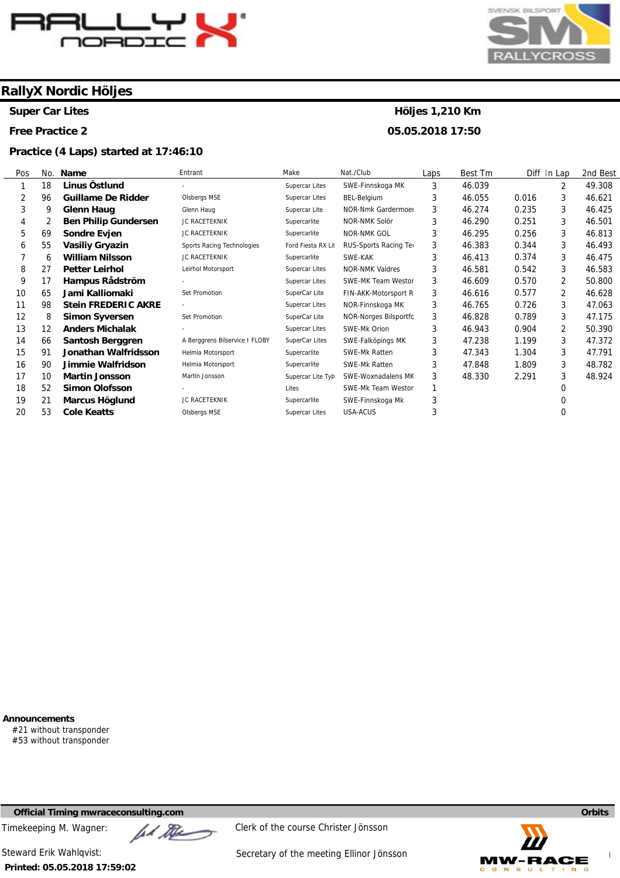

**Super Car Lites** 

**Free Practice 2** 

#### **Practice (4 Laps) started at 17:46:10**



### **Höljes 1,210 Km 05.05.2018 17:50**

Pos 1 2 3 4 5 6 7 8 9 10 11 12 13 14 15 16 17 18 19 20 No. 18 96 9 2 69 55 6 27 17 65 98 8 12 66 **01**  $\alpha$ 10 52 21 53 **Name Linus Östlund Guillame De Ridder Glenn Haug Ben Philip Gundersen Sondre Evjen Vasiliy Gryazin William Nilsson Petter Leirhol Hampus Rådström Jami Kalliomaki Stein FREDERIC AKRE Simon Syversen Anders Michalak Santosh Berggren Jonathan Walfridsson Jimmie Walfridson Martin Jonsson Simon Olofsson Marcus Höglund Cole Keatts**  Entrant - Olsbergs MSE Glenn Haug JC RACETEKNIK JC RACETEKNIK Sports Racing Technologies JC RACETEKNIK Leirhol Motorsport - Set Promotion - Set Promotion - A Berggrens Bilservice I FLOBY Helmia Motorsport Helmia Motorsport Martin Jonsson - JC RACETEKNIK Olsbergs MSE Make Supercar Lites Supercar Lites Supercar Lite Supercarlite Supercarlite Ford Fiesta RX Lit Supercarlite Supercar Lites Supercar Lites SuperCar Lite Supercar Lites SuperCar Lite Supercar Lites SuperCar Lites Supercarlite **Supercarlite** Supercar Lite Typ Lites Supercarlite Supercar Lites Nat./Club SWE-Finnskoga MK BEL-Belgium NOR-Nmk Gardermoen NOR-NMK Solör NOR-NMK GOL RUS-Sports Racing Te SWE-KAK NOR-NMK Valdres SWE-MK Team Westor FIN-AKK-Motorsport R NOR-Finnskoga MK NOR-Norges Bilsportfo SWE-Mk Orion SWE-Falköpings MK SWE-Mk Ratten SWE-Mk Ratten SWE-Woxnadalens MK SWE-Mk Team Westor SWE-Finnskoga Mk USA-ACUS Laps 3 3 3 3 3 3 3 3 3 3 3 3 3 3 3 3 3 1 3 3 Best Tm 46.039 46.055 46.274 46.290 46.295 46.383 46.413 46.581 46.609 46.616 46.765 46.828 46.943 47.238 47.343 47.848 48.330 Diff In Lap 0.016 0.235 0.251 0.256 0.344 0.374 0.542 0.570 0.577 0.726 0.789 0.904 1.199 1.304 1.809 2.291 2 3 3 3 3 3 3 3 2 2 3 3 2 3 3 3 3 0 0 0 2nd Best 49.308 46.621 46.425 46.501 46.813 46.493 46.475 46.583 50.800 46.628 47.063 47.175 50.390 47.372 47.791 48.782 48.924

**Announcements** 

#21 without transponder #53 without transponder

**Official Timing mwraceconsulting.com Orbits** 

**Printed: 05.05.2018 17:59:02** 



Timekeeping M. Wagner:  $\mathbb{Z}$   $\mathbb{Z}$  Clerk of the course Christer Jönsson

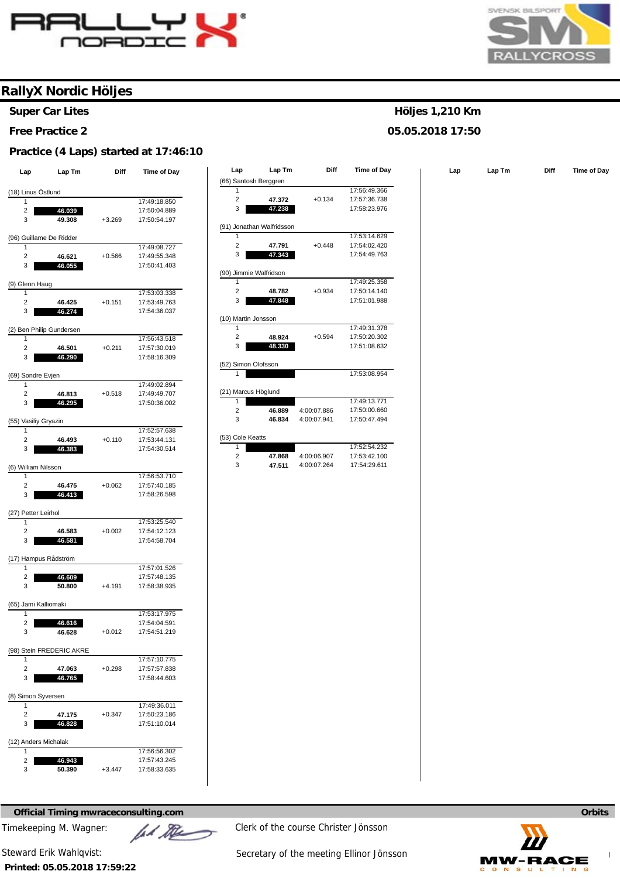



**Super Car Lites** 

#### **Free Practice 2**

#### **Practice (4 Laps) started at 17:46:10**

| Lap                           | Lap Tm                   | Diff     | Time of Day  |
|-------------------------------|--------------------------|----------|--------------|
|                               |                          |          |              |
| (18) Linus Östlund<br>1       |                          |          | 17:49:18.850 |
| 2                             | 46.039                   |          | 17:50:04.889 |
| 3                             | 49.308                   | $+3.269$ | 17:50:54.197 |
|                               |                          |          |              |
| (96) Guillame De Ridder       |                          |          |              |
| 1                             |                          |          | 17:49:08.727 |
| 2                             | 46.621                   | $+0.566$ | 17:49:55.348 |
| 3                             | 46.055                   |          | 17:50:41.403 |
| (9) Glenn Haug                |                          |          |              |
| 1                             |                          |          | 17:53:03.338 |
| 2                             | 46.425                   | $+0.151$ | 17:53:49.763 |
| 3                             | 46.274                   |          | 17:54:36.037 |
|                               |                          |          |              |
| (2) Ben Philip Gundersen<br>1 |                          |          | 17:56:43.518 |
| 2                             | 46.501                   | $+0.211$ | 17:57:30.019 |
| 3                             | 46.290                   |          | 17:58:16.309 |
|                               |                          |          |              |
| (69) Sondre Evjen             |                          |          |              |
| 1                             |                          |          | 17:49:02.894 |
| $\overline{c}$                | 46.813                   | $+0.518$ | 17:49:49.707 |
| 3                             | 46.295                   |          | 17:50:36.002 |
| (55) Vasiliy Gryazin          |                          |          |              |
| 1                             |                          |          | 17:52:57.638 |
| 2                             | 46.493                   | $+0.110$ | 17:53:44.131 |
| 3                             | 46.383                   |          | 17:54:30.514 |
|                               |                          |          |              |
| (6) William Nilsson           |                          |          |              |
| 1                             |                          |          | 17:56:53.710 |
| 2                             | 46.475                   | $+0.062$ | 17:57:40.185 |
| 3                             | 46.413                   |          | 17:58:26.598 |
| (27) Petter Leirhol           |                          |          |              |
| 1                             |                          |          | 17:53:25.540 |
| $\overline{c}$                | 46.583                   | $+0.002$ | 17:54:12.123 |
| 3                             | 46.581                   |          | 17:54:58.704 |
|                               |                          |          |              |
| (17) Hampus Rådström          |                          |          |              |
| 1                             |                          |          | 17:57:01.526 |
| 2                             | 46.609                   |          | 17:57:48.135 |
| 3                             | 50.800                   | $+4.191$ | 17:58:38.935 |
| (65) Jami Kalliomaki          |                          |          |              |
| 1                             |                          |          | 17:53:17.975 |
| 2                             | 46.616                   |          | 17:54:04.591 |
| 3                             | 46.628                   | $+0.012$ | 17:54:51.219 |
|                               |                          |          |              |
| 1                             | (98) Stein FREDERIC AKRE |          | 17:57:10.775 |
| 2                             | 47.063                   | $+0.298$ | 17:57:57.838 |
| 3                             | 46.765                   |          | 17:58:44.603 |
|                               |                          |          |              |
| (8) Simon Syversen            |                          |          |              |
| 1                             |                          |          | 17:49:36.011 |
| 2                             | 47.175                   | $+0.347$ | 17:50:23.186 |
| 3                             | 46.828                   |          | 17:51:10.014 |
| (12) Anders Michalak          |                          |          |              |
| 1                             |                          |          | 17:56:56.302 |
| 2                             | 46.943                   |          | 17:57:43.245 |
| 3                             | 50.390                   | $+3.447$ | 17:58:33.635 |
|                               |                          |          |              |

| Lap                   | Lap Tm                      | <b>Diff</b> | Time of Day  | Lap                     | Lap Tm                    | Diff        | Time of Day  | Lap | Lap Tm | <b>Diff</b> | Time of Day |
|-----------------------|-----------------------------|-------------|--------------|-------------------------|---------------------------|-------------|--------------|-----|--------|-------------|-------------|
|                       |                             |             |              |                         | (66) Santosh Berggren     |             |              |     |        |             |             |
| Linus Östlund         |                             |             |              |                         |                           |             | 17:56:49.366 |     |        |             |             |
| $\overline{1}$        |                             |             | 17:49:18.850 | $\overline{2}$          | 47.372                    | $+0.134$    | 17:57:36.738 |     |        |             |             |
| $\overline{2}$        | 46.039                      |             | 17:50:04.889 | 3                       | 47.238                    |             | 17:58:23.976 |     |        |             |             |
| 3                     | 49.308                      | $+3.269$    | 17:50:54.197 |                         |                           |             |              |     |        |             |             |
|                       |                             |             |              |                         | (91) Jonathan Walfridsson |             |              |     |        |             |             |
|                       | Guillame De Ridder          |             |              | $\mathbf{1}$            |                           |             | 17:53:14.629 |     |        |             |             |
| $\overline{1}$        |                             |             | 17:49:08.727 | $\overline{\mathbf{c}}$ | 47.791                    | $+0.448$    | 17:54:02.420 |     |        |             |             |
| $\overline{2}$        | 46.621                      | $+0.566$    | 17:49:55.348 | 3                       | 47.343                    |             | 17:54:49.763 |     |        |             |             |
| 3                     | 46.055                      |             | 17:50:41.403 |                         |                           |             |              |     |        |             |             |
|                       |                             |             |              |                         | (90) Jimmie Walfridson    |             |              |     |        |             |             |
| <b>Glenn Haug</b>     |                             |             |              | 1                       |                           |             | 17:49:25.358 |     |        |             |             |
| $\overline{1}$        |                             |             | 17:53:03.338 | 2                       | 48.782                    | $+0.934$    | 17:50:14.140 |     |        |             |             |
| 2                     | 46.425                      | $+0.151$    | 17:53:49.763 | 3                       | 47.848                    |             | 17:51:01.988 |     |        |             |             |
| 3                     | 46.274                      |             | 17:54:36.037 |                         |                           |             |              |     |        |             |             |
|                       |                             |             |              |                         | (10) Martin Jonsson       |             |              |     |        |             |             |
|                       | <b>Ben Philip Gundersen</b> |             |              | 1                       |                           |             | 17:49:31.378 |     |        |             |             |
| $\overline{1}$        |                             |             | 17:56:43.518 | $\overline{2}$          | 48.924                    | $+0.594$    | 17:50:20.302 |     |        |             |             |
| $\overline{2}$        | 46.501                      | $+0.211$    | 17:57:30.019 | 3                       | 48.330                    |             | 17:51:08.632 |     |        |             |             |
| 3                     | 46.290                      |             | 17:58:16.309 |                         |                           |             |              |     |        |             |             |
|                       |                             |             |              |                         | (52) Simon Olofsson       |             |              |     |        |             |             |
| Sondre Evjen          |                             |             |              |                         |                           |             | 17:53:08.954 |     |        |             |             |
| $\overline{1}$        |                             |             | 17:49:02.894 |                         |                           |             |              |     |        |             |             |
| $\overline{2}$        | 46.813                      | $+0.518$    | 17:49:49.707 |                         | (21) Marcus Höglund       |             |              |     |        |             |             |
| 3                     | 46.295                      |             | 17:50:36.002 | 1                       |                           |             | 17:49:13.771 |     |        |             |             |
|                       |                             |             |              | 2                       | 46.889                    | 4:00:07.886 | 17:50:00.660 |     |        |             |             |
|                       | Vasiliy Gryazin             |             |              | 3                       | 46.834                    | 4:00:07.941 | 17:50:47.494 |     |        |             |             |
| $\overline{1}$        |                             |             | 17:52:57.638 |                         |                           |             |              |     |        |             |             |
| $\overline{2}$        | 46.493                      | $+0.110$    | 17:53:44.131 | (53) Cole Keatts        |                           |             |              |     |        |             |             |
| 3                     | 46.383                      |             | 17:54:30.514 |                         |                           |             | 17:52:54.232 |     |        |             |             |
|                       |                             |             |              | $\overline{c}$          | 47.868                    | 4:00:06.907 | 17:53:42.100 |     |        |             |             |
| Villiam Nilsson       |                             |             |              | 3                       | 47.511                    | 4:00:07.264 | 17:54:29.611 |     |        |             |             |
| $\overline{1}$        |                             |             | 17:56:53.710 |                         |                           |             |              |     |        |             |             |
| $\overline{2}$        | 46.475                      | $+0.062$    | 17:57:40.185 |                         |                           |             |              |     |        |             |             |
| 3                     | 46.413                      |             | 17:58:26.598 |                         |                           |             |              |     |        |             |             |
| <b>Dottor Loirbol</b> |                             |             |              |                         |                           |             |              |     |        |             |             |

**Printed: 05.05.2018 17:59:22** 



Steward Erik Wahlqvist: Steward Erik Wahlqvist: Secretary of the meeting Ellinor Jönsson



### **Höljes 1,210 Km 05.05.2018 17:50**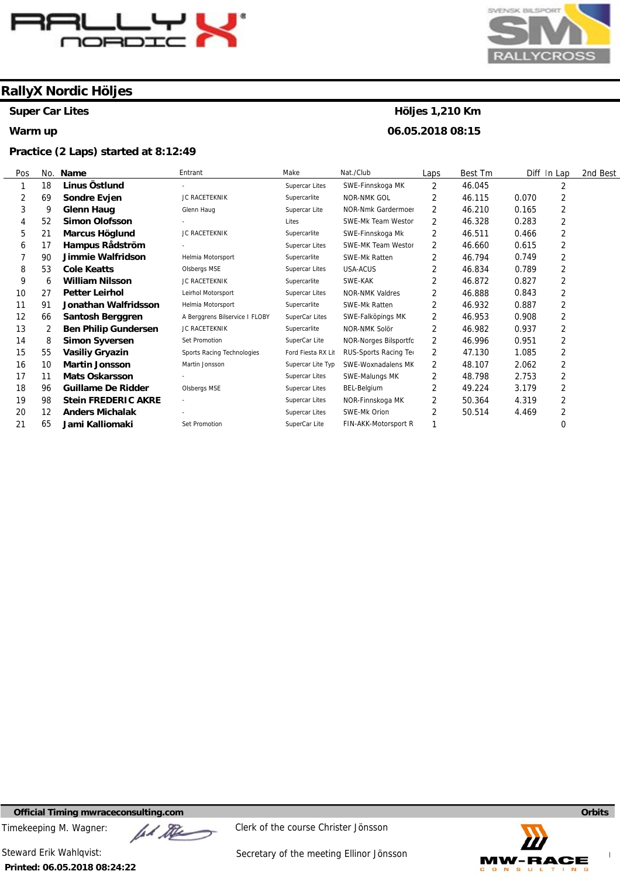

**Super Car Lites** 

#### **Warm up**

#### **Practice (2 Laps) started at 8:12:49**



# **Höljes 1,210 Km**

**06.05.2018 08:15** 

| Pos | No. | Name                        | Entrant                        | Make                  | Nat./Club                 | Laps | Best Tm | Diff In Lap             | 2nd Best |
|-----|-----|-----------------------------|--------------------------------|-----------------------|---------------------------|------|---------|-------------------------|----------|
|     | 18  | Linus Östlund               |                                | Supercar Lites        | SWE-Finnskoga MK          | 2    | 46.045  | 2                       |          |
| 2   | 69  | Sondre Evjen                | JC RACETEKNIK                  | Supercarlite          | NOR-NMK GOL               | 2    | 46.115  | 2<br>0.070              |          |
| 3   | 9   | <b>Glenn Haug</b>           | Glenn Haug                     | Supercar Lite         | <b>NOR-Nmk Gardermoer</b> | 2    | 46.210  | 2<br>0.165              |          |
| 4   | 52  | <b>Simon Olofsson</b>       |                                | Lites                 | SWE-Mk Team Westor        | 2    | 46.328  | $\overline{2}$<br>0.283 |          |
| 5   | 21  | Marcus Höglund              | JC RACETEKNIK                  | Supercarlite          | SWE-Finnskoga Mk          | 2    | 46.511  | 2<br>0.466              |          |
| 6   | 17  | Hampus Rådström             |                                | <b>Supercar Lites</b> | SWE-MK Team Westor        | 2    | 46.660  | 2<br>0.615              |          |
|     | 90  | Jimmie Walfridson           | Helmia Motorsport              | Supercarlite          | <b>SWE-Mk Ratten</b>      | 2    | 46.794  | 2<br>0.749              |          |
| 8   | 53  | <b>Cole Keatts</b>          | Olsbergs MSE                   | <b>Supercar Lites</b> | USA-ACUS                  | 2    | 46.834  | $\overline{2}$<br>0.789 |          |
| 9   | 6   | <b>William Nilsson</b>      | <b>JC RACETEKNIK</b>           | Supercarlite          | SWE-KAK                   | 2    | 46.872  | 2<br>0.827              |          |
| 10  | 27  | <b>Petter Leirhol</b>       | Leirhol Motorsport             | <b>Supercar Lites</b> | <b>NOR-NMK Valdres</b>    | 2    | 46.888  | $\overline{2}$<br>0.843 |          |
| 11  | 91  | Jonathan Walfridsson        | Helmia Motorsport              | Supercarlite          | <b>SWE-Mk Ratten</b>      | 2    | 46.932  | $\overline{2}$<br>0.887 |          |
| 12  | 66  | Santosh Berggren            | A Berggrens Bilservice I FLOBY | SuperCar Lites        | SWE-Falköpings MK         | 2    | 46.953  | 2<br>0.908              |          |
| 13  | 2   | <b>Ben Philip Gundersen</b> | JC RACETEKNIK                  | Supercarlite          | NOR-NMK Solör             | 2    | 46.982  | $\overline{2}$<br>0.937 |          |
| 14  | 8   | <b>Simon Syversen</b>       | Set Promotion                  | SuperCar Lite         | NOR-Norges Bilsportfc     | 2    | 46.996  | $\overline{2}$<br>0.951 |          |
| 15  | 55  | <b>Vasiliy Gryazin</b>      | Sports Racing Technologies     | Ford Fiesta RX Lit    | RUS-Sports Racing Ter     | 2    | 47.130  | 2<br>1.085              |          |
| 16  | 10  | <b>Martin Jonsson</b>       | Martin Jonsson                 | Supercar Lite Typ     | SWE-Woxnadalens MK        | 2    | 48.107  | 2<br>2.062              |          |
| 17  | 11  | <b>Mats Oskarsson</b>       |                                | <b>Supercar Lites</b> | SWE-Malungs MK            | 2    | 48.798  | $\overline{2}$<br>2.753 |          |
| 18  | 96  | <b>Guillame De Ridder</b>   | Olsbergs MSE                   | Supercar Lites        | <b>BEL-Belgium</b>        | 2    | 49.224  | 2<br>3.179              |          |
| 19  | 98  | <b>Stein FREDERIC AKRE</b>  | ٠                              | Supercar Lites        | NOR-Finnskoga MK          | 2    | 50.364  | 2<br>4.319              |          |
| 20  | 12  | <b>Anders Michalak</b>      |                                | Supercar Lites        | SWE-Mk Orion              | 2    | 50.514  | $\overline{2}$<br>4.469 |          |
| 21  | 65  | Jami Kalliomaki             | Set Promotion                  | SuperCar Lite         | FIN-AKK-Motorsport R      |      |         | 0                       |          |

**Official Timing mwraceconsulting.com Orbits** 

**Printed: 06.05.2018 08:24:22** 

Timekeeping M. Wagner:  $\mathbb{Z}$   $\mathbb{Z}$  Clerk of the course Christer Jönsson

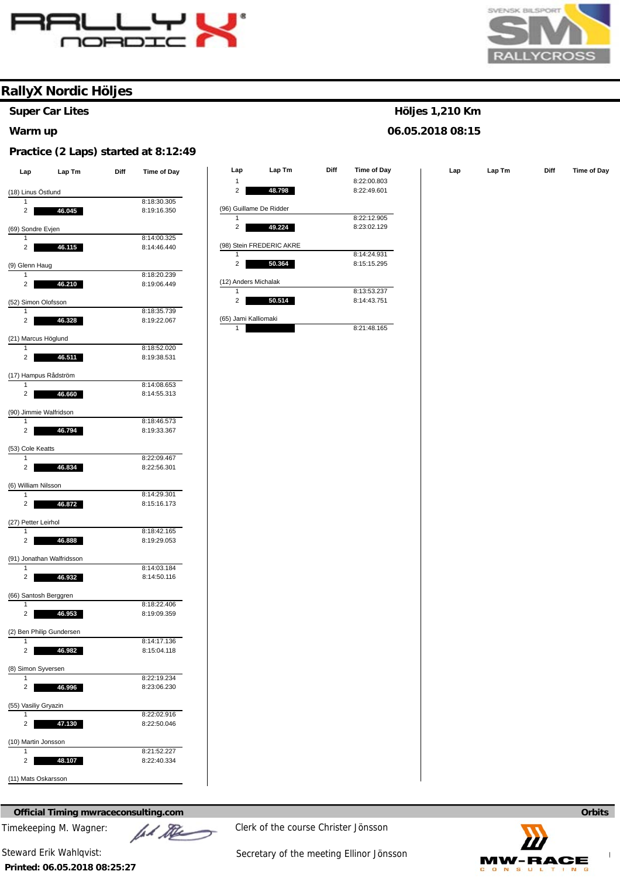



**Super Car Lites** 

#### **Warm up**

#### **Practice (2 Laps) started at 8:12:49**

| Lap                     | Lap Tm                    | Diff | <b>Time of Day</b>         |
|-------------------------|---------------------------|------|----------------------------|
|                         | (18) Linus Östlund        |      |                            |
| 1                       |                           |      | 8:18:30.305                |
| 2                       | 46.045                    |      | 8:19:16.350                |
|                         | (69) Sondre Evjen         |      |                            |
| 1<br>2                  |                           |      | 8:14:00.325<br>8:14:46.440 |
|                         | 46.115                    |      |                            |
| (9) Glenn Haug<br>1     |                           |      | 8:18:20.239                |
| 2                       | 46.210                    |      | 8:19:06.449                |
|                         |                           |      |                            |
| 1                       | (52) Simon Olofsson       |      | 8:18:35.739                |
| 2                       | 46.328                    |      | 8:19:22.067                |
|                         | (21) Marcus Höglund       |      |                            |
| 1                       |                           |      | 8:18:52.020                |
| 2                       | 46.511                    |      | 8:19:38.531                |
|                         | (17) Hampus Rådström      |      |                            |
| 1                       |                           |      | 8:14:08.653                |
| 2                       | 46.660                    |      | 8:14:55.313                |
| 1                       | (90) Jimmie Walfridson    |      | 8:18:46.573                |
| 2                       | 46.794                    |      | 8:19:33.367                |
|                         |                           |      |                            |
| (53) Cole Keatts<br>1   |                           |      | 8:22:09.467                |
| 2                       | 46.834                    |      | 8:22:56.301                |
|                         | (6) William Nilsson       |      |                            |
| 1                       |                           |      | 8:14:29.301                |
| 2                       | 46.872                    |      | 8:15:16.173                |
|                         | (27) Petter Leirhol       |      |                            |
| 1                       |                           |      | 8:18:42.165                |
| 2                       | 46.888                    |      | 8:19:29.053                |
|                         | (91) Jonathan Walfridsson |      |                            |
| 1<br>2                  | 46.932                    |      | 8:14:03.184<br>8:14:50.116 |
|                         |                           |      |                            |
| 1                       | (66) Santosh Berggren     |      | 8:18:22.406                |
| $\overline{\mathbf{c}}$ | 46.953                    |      | 8:19:09.359                |
|                         | (2) Ben Philip Gundersen  |      |                            |
| 1                       |                           |      | 8:14:17.136                |
| 2                       | 46.982                    |      | 8:15:04.118                |
|                         | (8) Simon Syversen        |      |                            |
| 1                       |                           |      | 8:22:19.234                |
| 2                       | 46.996                    |      | 8:23:06.230                |
|                         | (55) Vasiliy Gryazin      |      |                            |
| 1                       |                           |      | 8:22:02.916                |
| 2                       | 47.130                    |      | 8:22:50.046                |
| $\overline{\mathbf{1}}$ | (10) Martin Jonsson       |      | 8:21:52.227                |
| 2                       | 48.107                    |      | 8:22:40.334                |
|                         |                           |      |                            |
|                         | (11) Mats Oskarsson       |      |                            |

| Lap                      | Lap Tm | Diff | Time of Day |
|--------------------------|--------|------|-------------|
| 1                        |        |      | 8:22:00.803 |
| $\overline{2}$           | 48.798 |      | 8:22:49.601 |
| (96) Guillame De Ridder  |        |      |             |
| 1                        |        |      | 8:22:12.905 |
| 2                        | 49.224 |      | 8:23:02.129 |
| (98) Stein FREDERIC AKRE |        |      |             |
| 1                        |        |      | 8:14:24.931 |
| 2                        | 50.364 |      | 8:15:15.295 |
| (12) Anders Michalak     |        |      |             |
| 1                        |        |      | 8:13:53.237 |
| $\overline{2}$           | 50.514 |      | 8:14:43.751 |
| (65) Jami Kalliomaki     |        |      |             |
| 1                        |        |      | 8:21:48.165 |

#### **Höljes 1,210 Km**

#### **06.05.2018 08:15**

**Lap Lap Lap Tm Diff Time of Day** 

**Official Timing mwraceconsulting.com Orbits Orbits Orbits Orbits Orbits Orbits** 

**Printed: 06.05.2018 08:25:27** 



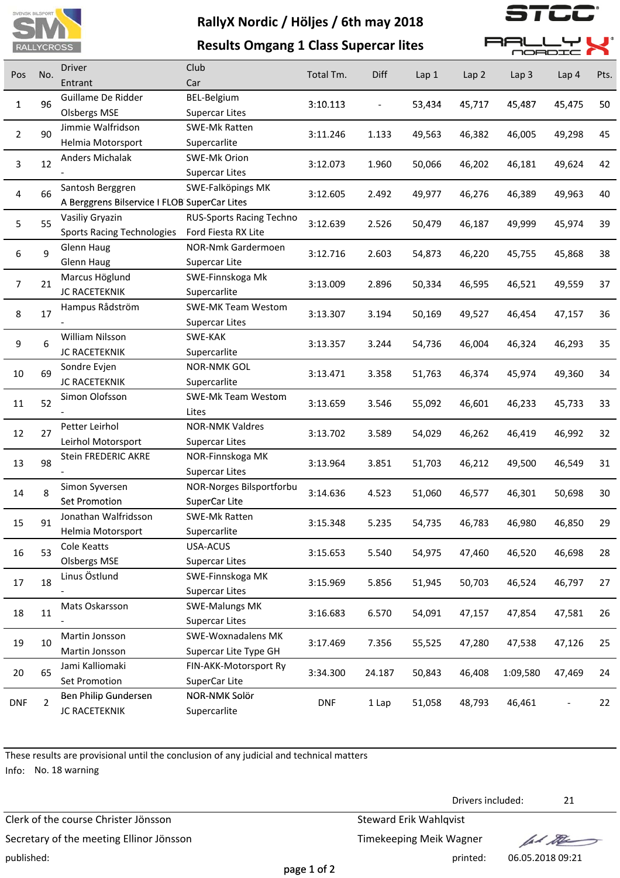

**Results Omgang 1 Class Supercar lites**



**RLLYI** 

F RF  $\blacksquare$ <sup>e</sup>

|            | <b>INTERVIOUS</b> |                                              | Results Offigalig + Class Supertal fites |            |        |        |                  |                  | <b>MORDIC</b>    |      |
|------------|-------------------|----------------------------------------------|------------------------------------------|------------|--------|--------|------------------|------------------|------------------|------|
| Pos        | No.               | Driver                                       | Club                                     | Total Tm.  | Diff   | Lap 1  | Lap <sub>2</sub> | Lap <sub>3</sub> | Lap <sub>4</sub> | Pts. |
|            |                   | Entrant                                      | Car                                      |            |        |        |                  |                  |                  |      |
| 1          | 96                | Guillame De Ridder                           | BEL-Belgium                              | 3:10.113   |        | 53,434 | 45,717           | 45,487           | 45,475           | 50   |
|            |                   | <b>Olsbergs MSE</b>                          | <b>Supercar Lites</b>                    |            |        |        |                  |                  |                  |      |
| 2          | 90                | Jimmie Walfridson                            | SWE-Mk Ratten                            | 3:11.246   | 1.133  | 49,563 | 46,382           | 46,005           | 49,298           | 45   |
|            |                   | Helmia Motorsport                            | Supercarlite                             |            |        |        |                  |                  |                  |      |
| 3          | 12                | Anders Michalak                              | SWE-Mk Orion                             | 3:12.073   | 1.960  | 50,066 | 46,202           | 46,181           | 49,624           | 42   |
|            |                   |                                              | <b>Supercar Lites</b>                    |            |        |        |                  |                  |                  |      |
| 4          | 66                | Santosh Berggren                             | SWE-Falköpings MK                        | 3:12.605   | 2.492  | 49,977 | 46,276           | 46,389           | 49,963           | 40   |
|            |                   | A Berggrens Bilservice I FLOB SuperCar Lites |                                          |            |        |        |                  |                  |                  |      |
| 5          | 55                | Vasiliy Gryazin                              | <b>RUS-Sports Racing Techno</b>          | 3:12.639   | 2.526  | 50,479 | 46,187           | 49,999           | 45,974           | 39   |
|            |                   | <b>Sports Racing Technologies</b>            | Ford Fiesta RX Lite                      |            |        |        |                  |                  |                  |      |
| 6          | 9                 | Glenn Haug                                   | NOR-Nmk Gardermoen                       | 3:12.716   | 2.603  | 54,873 | 46,220           | 45,755           | 45,868           | 38   |
|            |                   | <b>Glenn Haug</b>                            | Supercar Lite                            |            |        |        |                  |                  |                  |      |
| 7          | 21                | Marcus Höglund                               | SWE-Finnskoga Mk                         | 3:13.009   | 2.896  | 50,334 | 46,595           | 46,521           | 49,559           | 37   |
|            |                   | <b>JC RACETEKNIK</b>                         | Supercarlite                             |            |        |        |                  |                  |                  |      |
| 8          | 17                | Hampus Rådström                              | <b>SWE-MK Team Westom</b>                | 3:13.307   | 3.194  | 50,169 | 49,527           | 46,454           | 47,157           | 36   |
|            |                   |                                              | <b>Supercar Lites</b>                    |            |        |        |                  |                  |                  |      |
| 9          | 6                 | William Nilsson                              | SWE-KAK                                  | 3:13.357   | 3.244  | 54,736 | 46,004           | 46,324           | 46,293           | 35   |
|            |                   | JC RACETEKNIK                                | Supercarlite                             |            |        |        |                  |                  |                  |      |
| 10         | 69                | Sondre Evjen                                 | <b>NOR-NMK GOL</b>                       | 3:13.471   | 3.358  | 51,763 | 46,374           | 45,974           | 49,360           | 34   |
|            |                   | JC RACETEKNIK                                | Supercarlite                             |            |        |        |                  |                  |                  |      |
| 11         | 52                | Simon Olofsson                               | SWE-Mk Team Westom                       | 3:13.659   | 3.546  | 55,092 | 46,601           | 46,233           | 45,733           | 33   |
|            |                   |                                              | Lites                                    |            |        |        |                  |                  |                  |      |
| 12         | 27                | Petter Leirhol                               | <b>NOR-NMK Valdres</b>                   | 3:13.702   | 3.589  | 54,029 | 46,262           | 46,419           | 46,992           | 32   |
|            |                   | Leirhol Motorsport                           | <b>Supercar Lites</b>                    |            |        |        |                  |                  |                  |      |
| 13         | 98                | Stein FREDERIC AKRE                          | NOR-Finnskoga MK                         | 3:13.964   | 3.851  | 51,703 | 46,212           | 49,500           | 46,549           | 31   |
|            |                   |                                              | <b>Supercar Lites</b>                    |            |        |        |                  |                  |                  |      |
| 14         | 8                 | Simon Syversen                               | NOR-Norges Bilsportforbu                 | 3:14.636   | 4.523  | 51,060 | 46,577           | 46,301           | 50,698           | 30   |
|            |                   | Set Promotion                                | SuperCar Lite                            |            |        |        |                  |                  |                  |      |
| 15         | 91                | Jonathan Walfridsson                         | <b>SWE-Mk Ratten</b>                     | 3:15.348   | 5.235  | 54,735 | 46,783           | 46,980           | 46,850           | 29   |
|            |                   | Helmia Motorsport                            | Supercarlite                             |            |        |        |                  |                  |                  |      |
| 16         | 53                | Cole Keatts                                  | USA-ACUS                                 | 3:15.653   | 5.540  | 54,975 | 47,460           | 46,520           | 46,698           | 28   |
|            |                   | <b>Olsbergs MSE</b>                          | <b>Supercar Lites</b>                    |            |        |        |                  |                  |                  |      |
| 17         | 18                | Linus Östlund                                | SWE-Finnskoga MK                         | 3:15.969   | 5.856  | 51,945 | 50,703           | 46,524           | 46,797           | 27   |
|            |                   |                                              | <b>Supercar Lites</b>                    |            |        |        |                  |                  |                  |      |
| 18         | 11                | Mats Oskarsson                               | <b>SWE-Malungs MK</b>                    | 3:16.683   | 6.570  | 54,091 | 47,157           | 47,854           | 47,581           | 26   |
|            |                   |                                              | <b>Supercar Lites</b>                    |            |        |        |                  |                  |                  |      |
| 19         | 10                | Martin Jonsson                               | <b>SWE-Woxnadalens MK</b>                | 3:17.469   | 7.356  | 55,525 | 47,280           | 47,538           | 47,126           | 25   |
|            |                   | Martin Jonsson                               | Supercar Lite Type GH                    |            |        |        |                  |                  |                  |      |
| 20         | 65                | Jami Kalliomaki                              | FIN-AKK-Motorsport Ry                    | 3:34.300   | 24.187 | 50,843 | 46,408           | 1:09,580         | 47,469           | 24   |
|            |                   | Set Promotion                                | SuperCar Lite                            |            |        |        |                  |                  |                  |      |
| <b>DNF</b> | $\overline{2}$    | Ben Philip Gundersen                         | NOR-NMK Solör                            | <b>DNF</b> | 1 Lap  | 51,058 | 48,793           | 46,461           |                  | 22   |
|            |                   | JC RACETEKNIK                                | Supercarlite                             |            |        |        |                  |                  |                  |      |

page 1 of 2

These results are provisional until the conclusion of any judicial and technical matters

Info: No. 18 warning

Clerk of the course Christer Jönsson Steward Erik Wahlqvist Secretary of the meeting Ellinor Jönsson Secretary of the meeting Ellinor Jönsson published: printed: 06.05.2018 09:21

Drivers included: 21

fal the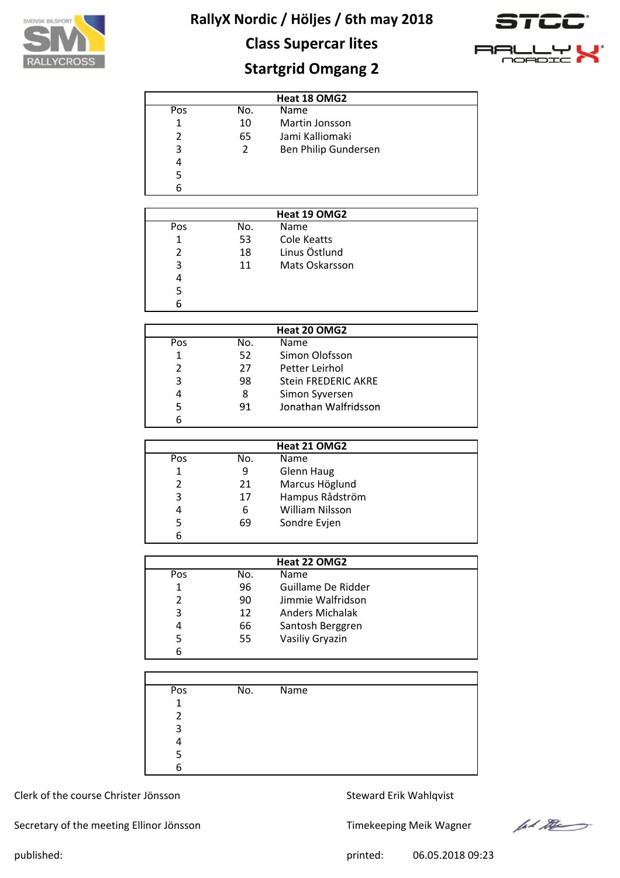

## **Class Supercar lites**



## **Startgrid Omgang 2**

|     |     | Heat 18 OMG2         |  |
|-----|-----|----------------------|--|
| Pos | No. | Name                 |  |
|     | 10  | Martin Jonsson       |  |
| 2   | 65  | Jami Kalliomaki      |  |
| 3   | 2   | Ben Philip Gundersen |  |
| 4   |     |                      |  |
| 5   |     |                      |  |
| հ   |     |                      |  |

|     |     | Heat 19 OMG2   |  |
|-----|-----|----------------|--|
| Pos | No. | Name           |  |
|     | 53  | Cole Keatts    |  |
|     | 18  | Linus Östlund  |  |
| 3   | 11  | Mats Oskarsson |  |
| 4   |     |                |  |
|     |     |                |  |
|     |     |                |  |

|               |     | Heat 20 OMG2               |  |
|---------------|-----|----------------------------|--|
| Pos           | No. | Name                       |  |
| 1             | 52  | Simon Olofsson             |  |
| $\mathcal{P}$ | 27  | Petter Leirhol             |  |
| 3             | 98  | <b>Stein FREDERIC AKRE</b> |  |
| 4             | 8   | Simon Syversen             |  |
| 5             | 91  | Jonathan Walfridsson       |  |
|               |     |                            |  |

|     |     | Heat 21 OMG2           |  |
|-----|-----|------------------------|--|
| Pos | No. | Name                   |  |
|     | 9   | Glenn Haug             |  |
| 2   | 21  | Marcus Höglund         |  |
| 3   | 17  | Hampus Rådström        |  |
| 4   | 6   | <b>William Nilsson</b> |  |
| 5   | 69  | Sondre Evjen           |  |
|     |     |                        |  |

|     | Heat 22 OMG2 |                        |  |  |
|-----|--------------|------------------------|--|--|
| Pos | No.          | Name                   |  |  |
| 1   | 96           | Guillame De Ridder     |  |  |
| 2   | 90           | Jimmie Walfridson      |  |  |
| 3   | 12           | <b>Anders Michalak</b> |  |  |
| 4   | 66           | Santosh Berggren       |  |  |
| 5   | 55           | Vasiliy Gryazin        |  |  |
| 6   |              |                        |  |  |

| Pos          | No. | $\overline{\mathsf{Name}}$ |  |
|--------------|-----|----------------------------|--|
| $\mathbf{1}$ |     |                            |  |
| 2            |     |                            |  |
| 3            |     |                            |  |
| 4            |     |                            |  |
| 5            |     |                            |  |
| 6            |     |                            |  |

### Clerk of the course Christer Jönsson Steward Erik Wahlqvist

Secretary of the meeting Ellinor Jönsson Timekeeping Meik Wagner



published: 06.05.2018 09:23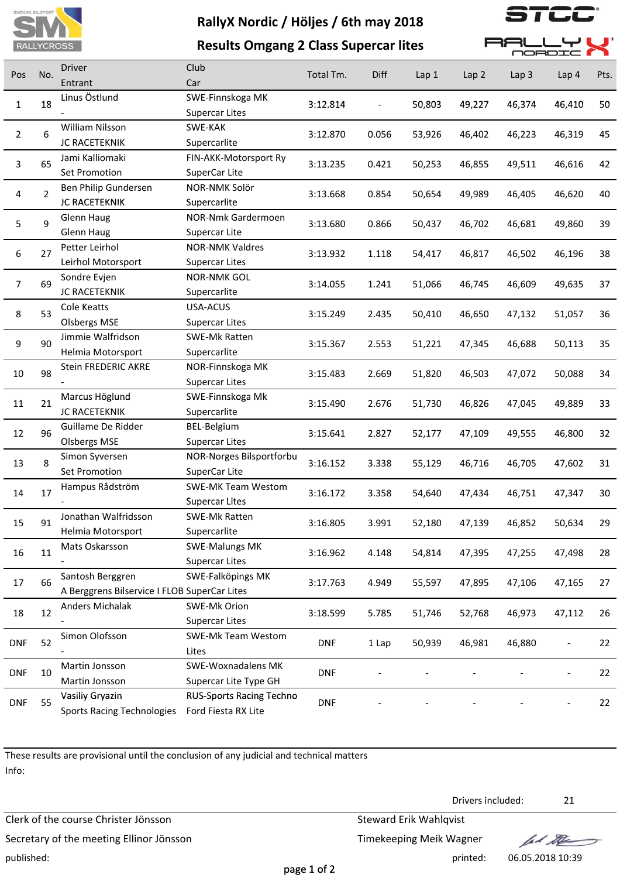

 $\overline{\phantom{a}}$ 

|                |     | <b>RALLYCROSS</b>                                                | <b>Results Omgang 2 Class Supercar lites</b>           |            |       |        |        | <b>RA</b><br>OORDI |        |      |
|----------------|-----|------------------------------------------------------------------|--------------------------------------------------------|------------|-------|--------|--------|--------------------|--------|------|
| Pos            | No. | <b>Driver</b><br>Entrant                                         | Club<br>Car                                            | Total Tm.  | Diff  | Lap 1  | Lap 2  | Lap <sub>3</sub>   | Lap 4  | Pts. |
| 1              | 18  | Linus Östlund                                                    | SWE-Finnskoga MK<br><b>Supercar Lites</b>              | 3:12.814   |       | 50,803 | 49,227 | 46,374             | 46,410 | 50   |
| $\overline{2}$ | 6   | William Nilsson<br>JC RACETEKNIK                                 | SWE-KAK<br>Supercarlite                                | 3:12.870   | 0.056 | 53,926 | 46,402 | 46,223             | 46,319 | 45   |
| $\overline{3}$ | 65  | Jami Kalliomaki<br>Set Promotion                                 | FIN-AKK-Motorsport Ry<br>SuperCar Lite                 | 3:13.235   | 0.421 | 50,253 | 46,855 | 49,511             | 46,616 | 42   |
| 4              | 2   | Ben Philip Gundersen<br>JC RACETEKNIK                            | NOR-NMK Solör<br>Supercarlite                          | 3:13.668   | 0.854 | 50,654 | 49,989 | 46,405             | 46,620 | 40   |
| 5              | 9   | Glenn Haug<br>Glenn Haug                                         | NOR-Nmk Gardermoen<br>Supercar Lite                    | 3:13.680   | 0.866 | 50,437 | 46,702 | 46,681             | 49,860 | 39   |
| 6              | 27  | Petter Leirhol<br>Leirhol Motorsport                             | <b>NOR-NMK Valdres</b><br><b>Supercar Lites</b>        | 3:13.932   | 1.118 | 54,417 | 46,817 | 46,502             | 46,196 | 38   |
| $\overline{7}$ | 69  | Sondre Evjen<br><b>JC RACETEKNIK</b>                             | <b>NOR-NMK GOL</b><br>Supercarlite                     | 3:14.055   | 1.241 | 51,066 | 46,745 | 46,609             | 49,635 | 37   |
| 8              | 53  | Cole Keatts<br><b>Olsbergs MSE</b>                               | USA-ACUS<br><b>Supercar Lites</b>                      | 3:15.249   | 2.435 | 50,410 | 46,650 | 47,132             | 51,057 | 36   |
| 9              | 90  | Jimmie Walfridson<br>Helmia Motorsport                           | SWE-Mk Ratten<br>Supercarlite                          | 3:15.367   | 2.553 | 51,221 | 47,345 | 46,688             | 50,113 | 35   |
| 10             | 98  | Stein FREDERIC AKRE                                              | NOR-Finnskoga MK<br><b>Supercar Lites</b>              | 3:15.483   | 2.669 | 51,820 | 46,503 | 47,072             | 50,088 | 34   |
| 11             | 21  | Marcus Höglund<br><b>JC RACETEKNIK</b>                           | SWE-Finnskoga Mk<br>Supercarlite                       | 3:15.490   | 2.676 | 51,730 | 46,826 | 47,045             | 49,889 | 33   |
| 12             | 96  | Guillame De Ridder<br><b>Olsbergs MSE</b>                        | BEL-Belgium<br><b>Supercar Lites</b>                   | 3:15.641   | 2.827 | 52,177 | 47,109 | 49,555             | 46,800 | 32   |
| 13             | 8   | Simon Syversen<br>Set Promotion                                  | NOR-Norges Bilsportforbu<br>SuperCar Lite              | 3:16.152   | 3.338 | 55,129 | 46,716 | 46,705             | 47,602 | 31   |
| 14             | 17  | Hampus Rådström                                                  | <b>SWE-MK Team Westom</b><br><b>Supercar Lites</b>     | 3:16.172   | 3.358 | 54,640 | 47,434 | 46,751             | 47,347 | 30   |
| 15             | 91  | Jonathan Walfridsson<br>Helmia Motorsport                        | SWE-Mk Ratten<br>Supercarlite                          | 3:16.805   | 3.991 | 52,180 | 47,139 | 46,852             | 50,634 | 29   |
| 16             | 11  | Mats Oskarsson                                                   | <b>SWE-Malungs MK</b><br><b>Supercar Lites</b>         | 3:16.962   | 4.148 | 54,814 | 47,395 | 47,255             | 47,498 | 28   |
| 17             | 66  | Santosh Berggren<br>A Berggrens Bilservice I FLOB SuperCar Lites | SWE-Falköpings MK                                      | 3:17.763   | 4.949 | 55,597 | 47,895 | 47,106             | 47,165 | 27   |
| 18             | 12  | <b>Anders Michalak</b>                                           | SWE-Mk Orion<br><b>Supercar Lites</b>                  | 3:18.599   | 5.785 | 51,746 | 52,768 | 46,973             | 47,112 | 26   |
| <b>DNF</b>     | 52  | Simon Olofsson                                                   | SWE-Mk Team Westom<br>Lites                            | <b>DNF</b> | 1 Lap | 50,939 | 46,981 | 46,880             |        | 22   |
| <b>DNF</b>     | 10  | Martin Jonsson<br>Martin Jonsson                                 | SWE-Woxnadalens MK<br>Supercar Lite Type GH            | <b>DNF</b> |       |        |        |                    |        | 22   |
| <b>DNF</b>     | 55  | Vasiliy Gryazin<br><b>Sports Racing Technologies</b>             | <b>RUS-Sports Racing Techno</b><br>Ford Fiesta RX Lite | <b>DNF</b> |       |        |        |                    |        | 22   |

These results are provisional until the conclusion of any judicial and technical matters Info:

Clerk of the course Christer Jönsson Steward Erik Wahlqvist Secretary of the meeting Ellinor Jönsson Secretary of the meeting Ellinor Jönsson published: printed: 06.05.2018 10:39

Drivers included: 21

lad the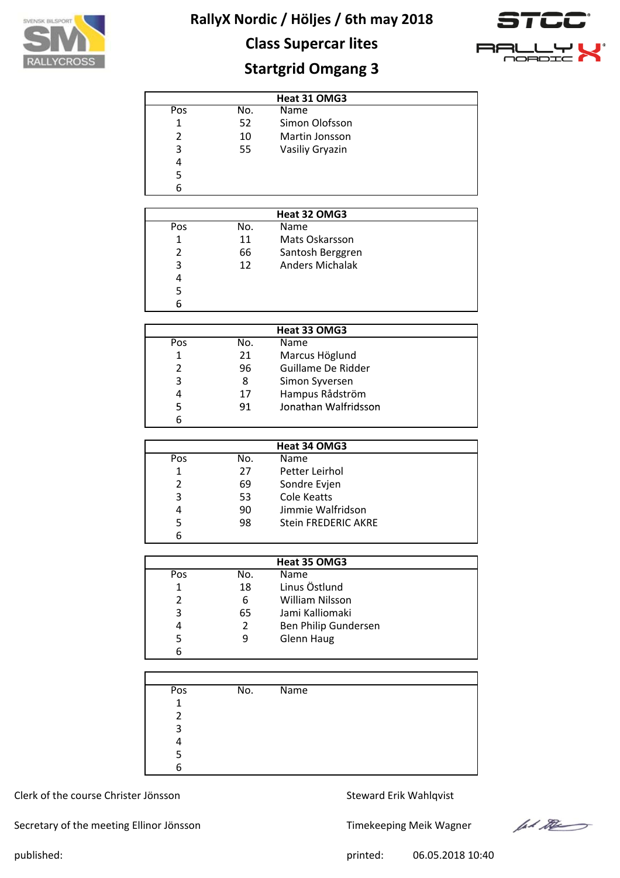



# **Class Supercar lites**

## **Startgrid Omgang 3**

|     |     | Heat 31 OMG3    |  |
|-----|-----|-----------------|--|
| Pos | No. | Name            |  |
| 1   | 52  | Simon Olofsson  |  |
| 2   | 10  | Martin Jonsson  |  |
| 3   | 55  | Vasiliy Gryazin |  |
| 4   |     |                 |  |
|     |     |                 |  |
|     |     |                 |  |

|               |     | Heat 32 OMG3           |  |
|---------------|-----|------------------------|--|
| Pos           | No. | Name                   |  |
| 1             | 11  | Mats Oskarsson         |  |
| $\mathcal{P}$ | 66  | Santosh Berggren       |  |
| κ             | 12  | <b>Anders Michalak</b> |  |
| 4             |     |                        |  |
| 5             |     |                        |  |
|               |     |                        |  |

|     |     | Heat 33 OMG3         |  |
|-----|-----|----------------------|--|
| Pos | No. | <b>Name</b>          |  |
|     | 21  | Marcus Höglund       |  |
|     | 96  | Guillame De Ridder   |  |
| 3   | 8   | Simon Syversen       |  |
| 4   | 17  | Hampus Rådström      |  |
|     | 91  | Jonathan Walfridsson |  |
|     |     |                      |  |

|     | Heat 34 OMG3 |                            |  |  |  |  |  |  |
|-----|--------------|----------------------------|--|--|--|--|--|--|
| Pos | No.          | Name                       |  |  |  |  |  |  |
| 1   | 27           | Petter Leirhol             |  |  |  |  |  |  |
| 2   | 69           | Sondre Evjen               |  |  |  |  |  |  |
| 3   | 53           | Cole Keatts                |  |  |  |  |  |  |
| 4   | 90           | Jimmie Walfridson          |  |  |  |  |  |  |
| 5   | 98           | <b>Stein FREDERIC AKRE</b> |  |  |  |  |  |  |
| 6   |              |                            |  |  |  |  |  |  |

|     |                | Heat 35 OMG3         |  |
|-----|----------------|----------------------|--|
| Pos | No.            | <b>Name</b>          |  |
|     | 18             | Linus Östlund        |  |
|     | 6              | William Nilsson      |  |
| 3   | 65             | Jami Kalliomaki      |  |
| 4   | $\overline{2}$ | Ben Philip Gundersen |  |
|     | 9              | Glenn Haug           |  |
| 6   |                |                      |  |

| Pos | $\overline{No}$ . | $\overline{\mathsf{Name}}$ |  |
|-----|-------------------|----------------------------|--|
| 1   |                   |                            |  |
| 2   |                   |                            |  |
| 3   |                   |                            |  |
|     |                   |                            |  |
| 5   |                   |                            |  |
| 6   |                   |                            |  |

### Clerk of the course Christer Jönsson Steward Erik Wahlqvist

Secretary of the meeting Ellinor Jönsson Timekeeping Meik Wagner



published: printed: 06.05.2018 10:40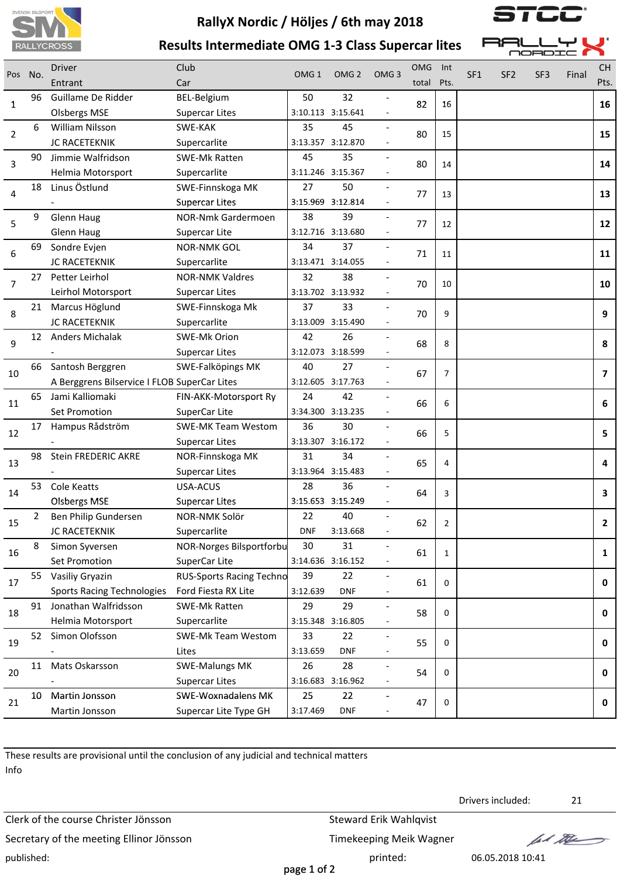



**Results Intermediate OMG 1‐3 Class Supercar lites**

|                |                                              | Driver                            | Club                            |                   | OMG <sub>2</sub>  |                  | <b>OMG</b> | Int                     |                 |                 |                 |       | <b>CH</b>               |
|----------------|----------------------------------------------|-----------------------------------|---------------------------------|-------------------|-------------------|------------------|------------|-------------------------|-----------------|-----------------|-----------------|-------|-------------------------|
| Pos            | No.                                          | Entrant                           | Car                             | OMG <sub>1</sub>  |                   | OMG <sub>3</sub> | total      | Pts.                    | SF <sub>1</sub> | SF <sub>2</sub> | SF <sub>3</sub> | Final | Pts.                    |
|                | 96                                           | Guillame De Ridder                | <b>BEL-Belgium</b>              | 50                | 32                |                  | 82         | 16                      |                 |                 |                 |       | 16                      |
| 1              |                                              | <b>Olsbergs MSE</b>               | <b>Supercar Lites</b>           |                   | 3:10.113 3:15.641 |                  |            |                         |                 |                 |                 |       |                         |
|                | 6                                            | William Nilsson                   | SWE-KAK                         | 35                | 45                |                  |            |                         |                 |                 |                 |       |                         |
| $\overline{2}$ |                                              | JC RACETEKNIK                     | Supercarlite                    |                   | 3:13.357 3:12.870 |                  | 80         | 15                      |                 |                 |                 |       | 15                      |
| 3              | 90                                           | Jimmie Walfridson                 | <b>SWE-Mk Ratten</b>            | 45                | 35                |                  | 80         | 14                      |                 |                 |                 |       | 14                      |
|                |                                              | Helmia Motorsport                 | Supercarlite                    |                   | 3:11.246 3:15.367 |                  |            |                         |                 |                 |                 |       |                         |
|                | 18                                           | Linus Östlund                     | SWE-Finnskoga MK                | 27                | 50                |                  | 77         |                         |                 |                 |                 |       | 13                      |
| 4              |                                              |                                   | <b>Supercar Lites</b>           |                   | 3:15.969 3:12.814 |                  |            | 13                      |                 |                 |                 |       |                         |
| 5              | 9                                            | <b>Glenn Haug</b>                 | NOR-Nmk Gardermoen              | 38                | 39                |                  | 77         | 12                      |                 |                 |                 |       | 12                      |
|                |                                              | Glenn Haug                        | Supercar Lite                   |                   | 3:12.716 3:13.680 |                  |            |                         |                 |                 |                 |       |                         |
| 6              | 69                                           | Sondre Evjen                      | <b>NOR-NMK GOL</b>              | 34                | 37                |                  | 71         | 11                      |                 |                 |                 |       | 11                      |
|                |                                              | JC RACETEKNIK                     | Supercarlite                    |                   | 3:13.471 3:14.055 |                  |            |                         |                 |                 |                 |       |                         |
| 7              | 27                                           | Petter Leirhol                    | <b>NOR-NMK Valdres</b>          | 32                | 38                |                  | 70         | 10                      |                 |                 |                 |       | 10                      |
|                |                                              | Leirhol Motorsport                | <b>Supercar Lites</b>           |                   | 3:13.702 3:13.932 |                  |            |                         |                 |                 |                 |       |                         |
| 8              | 21                                           | Marcus Höglund                    | SWE-Finnskoga Mk                | 37                | 33                |                  | 70         | 9                       |                 |                 |                 |       | 9                       |
|                |                                              | <b>JC RACETEKNIK</b>              | Supercarlite                    |                   | 3:13.009 3:15.490 |                  |            |                         |                 |                 |                 |       |                         |
| 9              | 12                                           | <b>Anders Michalak</b>            | <b>SWE-Mk Orion</b>             | 42                | 26                |                  | 68         | 8                       |                 |                 |                 |       | 8                       |
|                |                                              |                                   | <b>Supercar Lites</b>           |                   | 3:12.073 3:18.599 |                  |            |                         |                 |                 |                 |       |                         |
| 10             | 66                                           | Santosh Berggren                  | SWE-Falköpings MK               | 40                | 27                |                  | 67         | $\overline{7}$          |                 |                 |                 |       | $\overline{\mathbf{z}}$ |
|                | A Berggrens Bilservice I FLOB SuperCar Lites |                                   |                                 |                   | 3:12.605 3:17.763 |                  |            |                         |                 |                 |                 |       |                         |
| 11             | 65                                           | Jami Kalliomaki                   | FIN-AKK-Motorsport Ry           | 24                | 42                |                  | 66         | 6                       |                 |                 |                 |       | 6                       |
|                |                                              | Set Promotion                     | SuperCar Lite                   | 3:34.300 3:13.235 |                   |                  |            |                         |                 |                 |                 |       |                         |
| 12             | 17                                           | Hampus Rådström                   | <b>SWE-MK Team Westom</b>       | 36                | 30                |                  | 66         | 5                       |                 |                 |                 |       | 5                       |
|                |                                              |                                   | <b>Supercar Lites</b>           |                   | 3:13.307 3:16.172 |                  |            |                         |                 |                 |                 |       |                         |
| 13             | 98                                           | Stein FREDERIC AKRE               | NOR-Finnskoga MK                | 31                | 34                |                  | 65         | 4                       |                 |                 |                 |       | 4                       |
|                |                                              |                                   | <b>Supercar Lites</b>           | 3:13.964 3:15.483 |                   |                  |            |                         |                 |                 |                 |       |                         |
| 14             | 53                                           | <b>Cole Keatts</b>                | USA-ACUS                        | 28                | 36                |                  | 64         | 3                       |                 |                 |                 |       | 3                       |
|                |                                              | <b>Olsbergs MSE</b>               | <b>Supercar Lites</b>           | 3:15.653 3:15.249 |                   |                  |            |                         |                 |                 |                 |       |                         |
| 15             | 2                                            | Ben Philip Gundersen              | NOR-NMK Solör                   | 22                | 40                |                  | 62         | $\overline{\mathbf{c}}$ |                 |                 |                 |       |                         |
|                |                                              | JC RACETEKNIK                     | Supercarlite                    | <b>DNF</b>        | 3:13.668          |                  |            |                         |                 |                 |                 |       |                         |
| 16             | 8                                            | Simon Syversen                    | NOR-Norges Bilsportforbu        | 30                | 31                |                  | 61         | 1                       |                 |                 |                 |       | 1                       |
|                |                                              | Set Promotion                     | SuperCar Lite                   |                   | 3:14.636 3:16.152 |                  |            |                         |                 |                 |                 |       |                         |
| 17             |                                              | 55 Vasiliy Gryazin                | <b>RUS-Sports Racing Techno</b> | 39                | 22                |                  | 61         | 0                       |                 |                 |                 |       | 0                       |
|                |                                              | <b>Sports Racing Technologies</b> | Ford Fiesta RX Lite             | 3:12.639          | <b>DNF</b>        |                  |            |                         |                 |                 |                 |       |                         |
| 18             |                                              | 91 Jonathan Walfridsson           | SWE-Mk Ratten                   | 29                | 29                |                  | 58         | $\mathbf 0$             |                 |                 |                 |       | $\mathbf 0$             |
|                |                                              | Helmia Motorsport                 | Supercarlite                    |                   | 3:15.348 3:16.805 |                  |            |                         |                 |                 |                 |       |                         |
| 19             | 52                                           | Simon Olofsson                    | <b>SWE-Mk Team Westom</b>       | 33                | 22                |                  | 55         | $\mathbf 0$             |                 |                 |                 |       | 0                       |
|                |                                              |                                   | Lites                           | 3:13.659          | <b>DNF</b>        |                  |            |                         |                 |                 |                 |       |                         |
| 20             | 11                                           | Mats Oskarsson                    | <b>SWE-Malungs MK</b>           | 26                | 28                |                  | 54         | $\mathbf 0$             |                 |                 |                 |       | 0                       |
|                |                                              |                                   | <b>Supercar Lites</b>           |                   | 3:16.683 3:16.962 |                  |            |                         |                 |                 |                 |       |                         |
| 21             | 10                                           | Martin Jonsson                    | <b>SWE-Woxnadalens MK</b>       | 25                | 22                |                  | 47         | 0                       |                 |                 |                 |       | 0                       |
|                |                                              | Martin Jonsson                    | Supercar Lite Type GH           | 3:17.469          | <b>DNF</b>        |                  |            |                         |                 |                 |                 |       |                         |

These results are provisional until the conclusion of any judicial and technical matters Info

Clerk of the course Christer Jönsson Steward Erik Wahlqvist Secretary of the meeting Ellinor Jönsson Timekeeping Meik Wagner published: printed: 06.05.2018 10:41

Drivers included: 21

fol the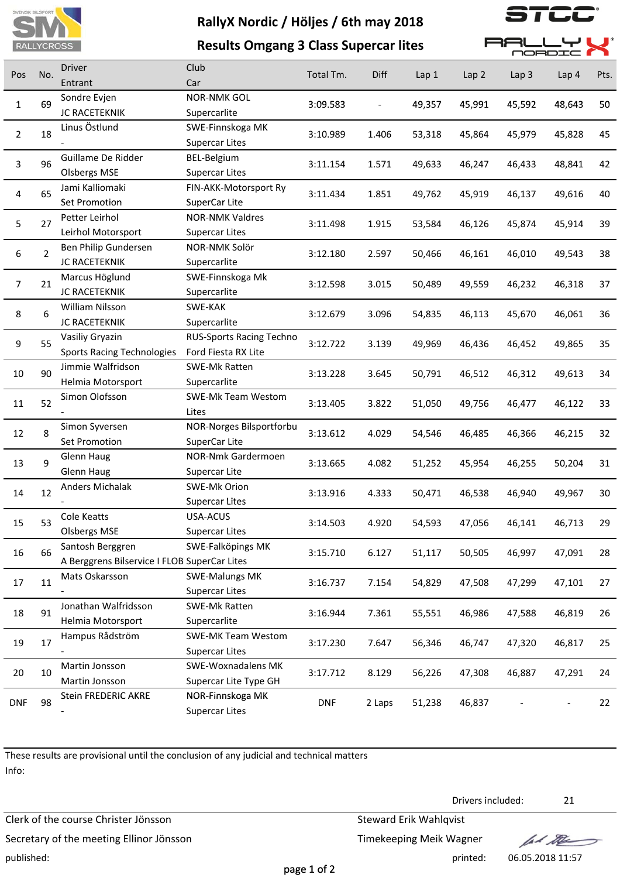

**Results Omgang 3 Class Supercar lites**

」しし

**BALLYL** 

|                  |                |                                              |                           | יואט וטקוטט טייטוט ט פיייט |        |        |                  |                  | <b>MORDIC</b> |      |
|------------------|----------------|----------------------------------------------|---------------------------|----------------------------|--------|--------|------------------|------------------|---------------|------|
| Pos              | No.            | <b>Driver</b>                                | Club                      | Total Tm.                  | Diff   | Lap 1  | Lap <sub>2</sub> | Lap <sub>3</sub> | Lap 4         | Pts. |
|                  |                | Entrant                                      | Car                       |                            |        |        |                  |                  |               |      |
| 1                | 69             | Sondre Evjen                                 | <b>NOR-NMK GOL</b>        | 3:09.583                   |        | 49,357 | 45,991           | 45,592           | 48,643        | 50   |
|                  |                | JC RACETEKNIK                                | Supercarlite              |                            |        |        |                  |                  |               |      |
| $\overline{2}$   | 18             | Linus Östlund                                | SWE-Finnskoga MK          | 3:10.989                   | 1.406  | 53,318 | 45,864           | 45,979           | 45,828        | 45   |
|                  |                |                                              | <b>Supercar Lites</b>     |                            |        |        |                  |                  |               |      |
| 3                | 96             | Guillame De Ridder                           | BEL-Belgium               | 3:11.154                   | 1.571  | 49,633 | 46,247           | 46,433           | 48,841        | 42   |
|                  |                | <b>Olsbergs MSE</b>                          | <b>Supercar Lites</b>     |                            |        |        |                  |                  |               |      |
| $\sqrt{4}$       | 65             | Jami Kalliomaki                              | FIN-AKK-Motorsport Ry     | 3:11.434                   | 1.851  | 49,762 | 45,919           | 46,137           | 49,616        | 40   |
|                  |                | Set Promotion                                | SuperCar Lite             |                            |        |        |                  |                  |               |      |
| 5                | 27             | Petter Leirhol                               | <b>NOR-NMK Valdres</b>    | 3:11.498                   | 1.915  | 53,584 | 46,126           | 45,874           | 45,914        | 39   |
|                  |                | Leirhol Motorsport                           | <b>Supercar Lites</b>     |                            |        |        |                  |                  |               |      |
| $\boldsymbol{6}$ | $\overline{2}$ | Ben Philip Gundersen                         | NOR-NMK Solör             | 3:12.180                   | 2.597  | 50,466 | 46,161           | 46,010           | 49,543        | 38   |
|                  |                | JC RACETEKNIK                                | Supercarlite              |                            |        |        |                  |                  |               |      |
| $\overline{7}$   | 21             | Marcus Höglund                               | SWE-Finnskoga Mk          | 3:12.598                   | 3.015  | 50,489 | 49,559           | 46,232           | 46,318        | 37   |
|                  |                | JC RACETEKNIK                                | Supercarlite              |                            |        |        |                  |                  |               |      |
| $\,8\,$          | 6              | William Nilsson                              | SWE-KAK                   | 3:12.679                   | 3.096  | 54,835 | 46,113           | 45,670           | 46,061        | 36   |
|                  |                | JC RACETEKNIK                                | Supercarlite              |                            |        |        |                  |                  |               |      |
| $\boldsymbol{9}$ | 55             | Vasiliy Gryazin                              | RUS-Sports Racing Techno  | 3:12.722                   | 3.139  | 49,969 | 46,436           | 46,452           | 49,865        | 35   |
|                  |                | <b>Sports Racing Technologies</b>            | Ford Fiesta RX Lite       |                            |        |        |                  |                  |               |      |
| 10               | 90             | Jimmie Walfridson                            | SWE-Mk Ratten             | 3:13.228                   | 3.645  | 50,791 | 46,512           | 46,312           | 49,613        | 34   |
|                  |                | Helmia Motorsport                            | Supercarlite              |                            |        |        |                  |                  |               |      |
| 11               | 52             | Simon Olofsson                               | SWE-Mk Team Westom        | 3:13.405                   | 3.822  | 51,050 | 49,756           | 46,477           | 46,122        | 33   |
|                  |                |                                              | Lites                     |                            |        |        |                  |                  |               |      |
| 12               | 8              | Simon Syversen                               | NOR-Norges Bilsportforbu  | 3:13.612                   | 4.029  | 54,546 | 46,485           | 46,366           | 46,215        | 32   |
|                  |                | Set Promotion                                | SuperCar Lite             |                            |        |        |                  |                  |               |      |
| 13               | 9              | <b>Glenn Haug</b>                            | NOR-Nmk Gardermoen        | 3:13.665                   | 4.082  | 51,252 | 45,954           | 46,255           | 50,204        | 31   |
|                  |                | <b>Glenn Haug</b>                            | Supercar Lite             |                            |        |        |                  |                  |               |      |
| 14               | 12             | Anders Michalak                              | SWE-Mk Orion              | 3:13.916                   | 4.333  | 50,471 | 46,538           | 46,940           | 49,967        | 30   |
|                  |                |                                              | <b>Supercar Lites</b>     |                            |        |        |                  |                  |               |      |
| 15               | 53             | Cole Keatts                                  | USA-ACUS                  | 3:14.503                   |        |        |                  |                  |               | 29   |
|                  |                | <b>Olsbergs MSE</b>                          | <b>Supercar Lites</b>     |                            | 4.920  | 54,593 | 47,056           | 46,141           | 46,713        |      |
| 16               | 66             | Santosh Berggren                             | SWE-Falköpings MK         | 3:15.710                   | 6.127  |        | 50,505           | 46,997           | 47,091        | 28   |
|                  |                | A Berggrens Bilservice I FLOB SuperCar Lites |                           |                            |        | 51,117 |                  |                  |               |      |
| 17               | 11             | Mats Oskarsson                               | <b>SWE-Malungs MK</b>     |                            |        |        |                  |                  |               | 27   |
|                  |                |                                              | <b>Supercar Lites</b>     | 3:16.737                   | 7.154  | 54,829 | 47,508           | 47,299           | 47,101        |      |
|                  | 91             | Jonathan Walfridsson                         | SWE-Mk Ratten             |                            |        |        |                  |                  |               |      |
| 18               |                | Helmia Motorsport                            | Supercarlite              | 3:16.944                   | 7.361  | 55,551 | 46,986           | 47,588           | 46,819        | 26   |
|                  |                | Hampus Rådström                              | <b>SWE-MK Team Westom</b> |                            |        |        |                  |                  |               |      |
| 19               | 17             |                                              | <b>Supercar Lites</b>     | 3:17.230                   | 7.647  | 56,346 | 46,747           | 47,320           | 46,817        | 25   |
|                  |                | Martin Jonsson                               | SWE-Woxnadalens MK        |                            |        |        |                  |                  |               |      |
| 20               | 10             | Martin Jonsson                               | Supercar Lite Type GH     | 3:17.712                   | 8.129  | 56,226 | 47,308           | 46,887           | 47,291        | 24   |
|                  |                | Stein FREDERIC AKRE                          | NOR-Finnskoga MK          |                            |        |        |                  |                  |               |      |
| <b>DNF</b>       | 98             |                                              | <b>Supercar Lites</b>     | <b>DNF</b>                 | 2 Laps | 51,238 | 46,837           |                  |               | 22   |

These results are provisional until the conclusion of any judicial and technical matters Info:

Clerk of the course Christer Jönsson Steward Erik Wahlqvist Secretary of the meeting Ellinor Jönsson Timekeeping Meik Wagner published: printed: 06.05.2018 11:57

Drivers included: 21

let the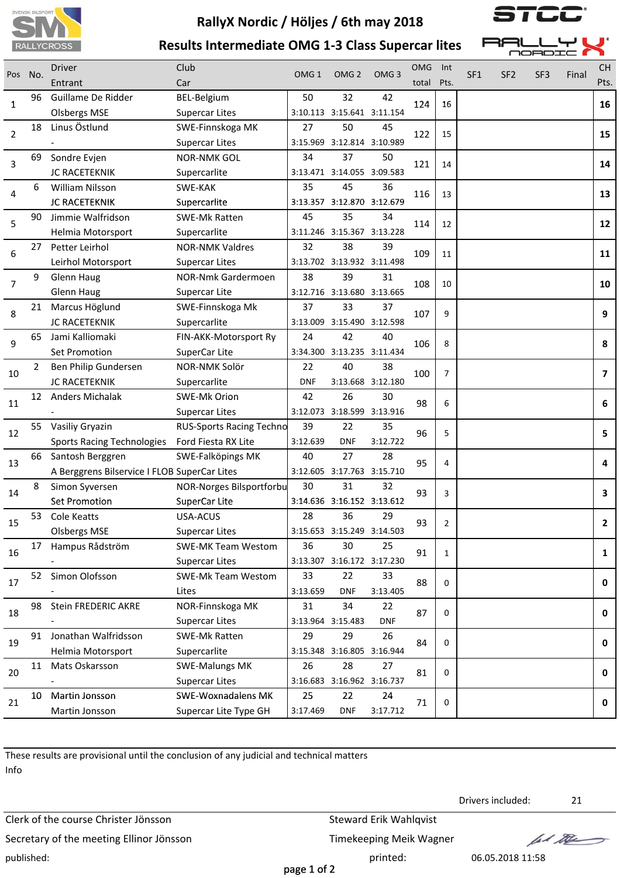



**Results Intermediate OMG 1‐3 Class Supercar lites**

BEL-Belgium

**MORDIO** Driver Club Club OMG Int CH<sub>4</sub> CH<sub>4</sub> CH<sub>4</sub> CH<sub>4</sub> CH<sub>4</sub> CH<sub>4</sub> CH<sub>4</sub> CH<sub>4</sub> CH<sub>4</sub> CH<sub>4</sub> CH<sub>4</sub> CH<sub>4</sub> CH<sub>4</sub> CH<sub>4</sub> CH<sub>4</sub> CH<sub>4</sub> CH<sub>4</sub> CH<sub>4</sub> CH<sub>4</sub> CH<sub>4</sub> CH<sub>4</sub> CH<sub>4</sub> CH<sub>4</sub> CH<sub>4</sub> CH<sub>4</sub> CH<sub>4</sub> CH<sub>4</sub> CH<sub>4</sub> CH<sub>4</sub> CH<sub>4</sub> CH<sub>4</sub> CH<sub>4</sub> CH<sub>4</sub> Final Pos No. 2002 . OMG 1 OMG 2 OMG 3 SF1 SF3 SF2 Entrant Car total Pts. Pts. 96 Guillame De Ridder BEL-Belgium 50 32 42  $\frac{1}{24}$  124 4 | 16 **14**

|                |    | <b>Olsbergs MSE</b>                          | <b>Supercar Lites</b>           |                   | 3:10.113 3:15.641 3:11.154 |                   |     |                |                |
|----------------|----|----------------------------------------------|---------------------------------|-------------------|----------------------------|-------------------|-----|----------------|----------------|
|                | 18 | Linus Östlund                                | SWE-Finnskoga MK                | 27                | 50                         | 45                |     |                | 15             |
| 2              |    |                                              | <b>Supercar Lites</b>           |                   | 3:15.969 3:12.814 3:10.989 |                   | 122 | 15             |                |
|                | 69 | Sondre Evjen                                 | <b>NOR-NMK GOL</b>              | 34                | 37                         | 50                |     | 14             | 14             |
| 3              |    | JC RACETEKNIK                                | Supercarlite                    |                   | 3:13.471 3:14.055 3:09.583 |                   | 121 |                |                |
|                | 6  | <b>William Nilsson</b>                       | SWE-KAK                         | 35                | 45                         | 36                |     | 13             |                |
| 4              |    | JC RACETEKNIK                                | Supercarlite                    |                   | 3:13.357 3:12.870 3:12.679 |                   | 116 |                | 13             |
| 5              | 90 | Jimmie Walfridson                            | <b>SWE-Mk Ratten</b>            | 45                | 35                         | 34                | 114 | 12             | 12             |
|                |    | Helmia Motorsport                            | Supercarlite                    |                   | 3:11.246 3:15.367 3:13.228 |                   |     |                |                |
| 6              | 27 | Petter Leirhol                               | <b>NOR-NMK Valdres</b>          | 32                | 38                         | 39                | 109 | 11             | 11             |
|                |    | Leirhol Motorsport                           | <b>Supercar Lites</b>           |                   | 3:13.702 3:13.932 3:11.498 |                   |     |                |                |
| $\overline{7}$ | 9  | <b>Glenn Haug</b>                            | NOR-Nmk Gardermoen              | 38                | 39                         | 31                | 108 | 10             | 10             |
|                |    | Glenn Haug                                   | Supercar Lite                   |                   | 3:12.716 3:13.680 3:13.665 |                   |     |                |                |
| 8              | 21 | Marcus Höglund                               | SWE-Finnskoga Mk                | 37                | 33                         | 37                | 107 | 9              | 9              |
|                |    | <b>JC RACETEKNIK</b>                         | Supercarlite                    |                   | 3:13.009 3:15.490 3:12.598 |                   |     |                |                |
| 9              | 65 | Jami Kalliomaki                              | FIN-AKK-Motorsport Ry           | 24                | 42                         | 40                | 106 | 8              | 8              |
|                |    | Set Promotion                                | SuperCar Lite                   |                   | 3:34.300 3:13.235 3:11.434 |                   |     |                |                |
| 10             | 2  | Ben Philip Gundersen                         | NOR-NMK Solör                   | 22                | 40                         | 38                | 100 | 7              | $\overline{ }$ |
|                |    | JC RACETEKNIK                                | Supercarlite                    | <b>DNF</b>        |                            | 3:13.668 3:12.180 |     |                |                |
| 11             | 12 | Anders Michalak                              | SWE-Mk Orion                    | 42                | 26                         | 30                | 98  | 6              | 6              |
|                |    |                                              | <b>Supercar Lites</b>           |                   | 3:12.073 3:18.599 3:13.916 |                   |     |                |                |
| 12             | 55 | Vasiliy Gryazin                              | <b>RUS-Sports Racing Techno</b> | 39                | 22                         | 35                | 96  | 5              | 5              |
|                |    | <b>Sports Racing Technologies</b>            | Ford Fiesta RX Lite             | 3:12.639          | <b>DNF</b>                 | 3:12.722          |     |                |                |
| 13             | 66 | Santosh Berggren                             | SWE-Falköpings MK               | 40                | 27                         | 28                | 95  | 4              | 4              |
|                |    | A Berggrens Bilservice I FLOB SuperCar Lites |                                 |                   | 3:12.605 3:17.763 3:15.710 |                   |     |                |                |
| 14             | 8  | Simon Syversen                               | NOR-Norges Bilsportforbu        | 30                | 31                         | 32                | 93  | 3              | 3              |
|                |    | Set Promotion                                | SuperCar Lite                   |                   | 3:14.636 3:16.152 3:13.612 |                   |     |                |                |
| 15             | 53 | Cole Keatts                                  | USA-ACUS                        | 28                | 36                         | 29                | 93  | $\overline{2}$ | $\mathbf{2}$   |
|                |    | <b>Olsbergs MSE</b>                          | <b>Supercar Lites</b>           |                   | 3:15.653 3:15.249 3:14.503 |                   |     |                |                |
| 16             | 17 | Hampus Rådström                              | <b>SWE-MK Team Westom</b>       | 36                | 30                         | 25                | 91  | $\mathbf{1}$   | $\mathbf{1}$   |
|                |    |                                              | <b>Supercar Lites</b>           |                   | 3:13.307 3:16.172 3:17.230 |                   |     |                |                |
| 17             | 52 | Simon Olofsson                               | SWE-Mk Team Westom              | 33                | 22                         | 33                | 88  | 0              | 0              |
|                |    |                                              | Lites                           | 3:13.659          | <b>DNF</b>                 | 3:13.405          |     |                |                |
| 18             | 98 | Stein FREDERIC AKRE                          | NOR-Finnskoga MK                | 31                | 34                         | 22                | 87  | $\mathbf 0$    | 0              |
|                |    |                                              | <b>Supercar Lites</b>           | 3:13.964 3:15.483 |                            | <b>DNF</b>        |     |                |                |
| 19             | 91 | Jonathan Walfridsson                         | <b>SWE-Mk Ratten</b>            | 29                | 29                         | 26                | 84  | $\mathbf 0$    | 0              |
|                |    | Helmia Motorsport                            | Supercarlite                    |                   | 3:15.348 3:16.805 3:16.944 |                   |     |                |                |
| 20             | 11 | Mats Oskarsson                               | <b>SWE-Malungs MK</b>           | 26                | 28                         | 27                | 81  | 0              | 0              |
|                |    |                                              | <b>Supercar Lites</b>           |                   | 3:16.683 3:16.962 3:16.737 |                   |     |                |                |
| 21             | 10 | Martin Jonsson                               | <b>SWE-Woxnadalens MK</b>       | 25                | 22                         | 24                | 71  | 0              | 0              |
|                |    | Martin Jonsson                               | Supercar Lite Type GH           | 3:17.469          | <b>DNF</b>                 | 3:17.712          |     |                |                |
|                |    |                                              |                                 |                   |                            |                   |     |                |                |

These results are provisional until the conclusion of any judicial and technical matters Info

Clerk of the course Christer Jönsson Steward Erik Wahlqvist Secretary of the meeting Ellinor Jönsson Timekeeping Meik Wagner published: printed: 06.05.2018 11:58

Drivers included: 21

let the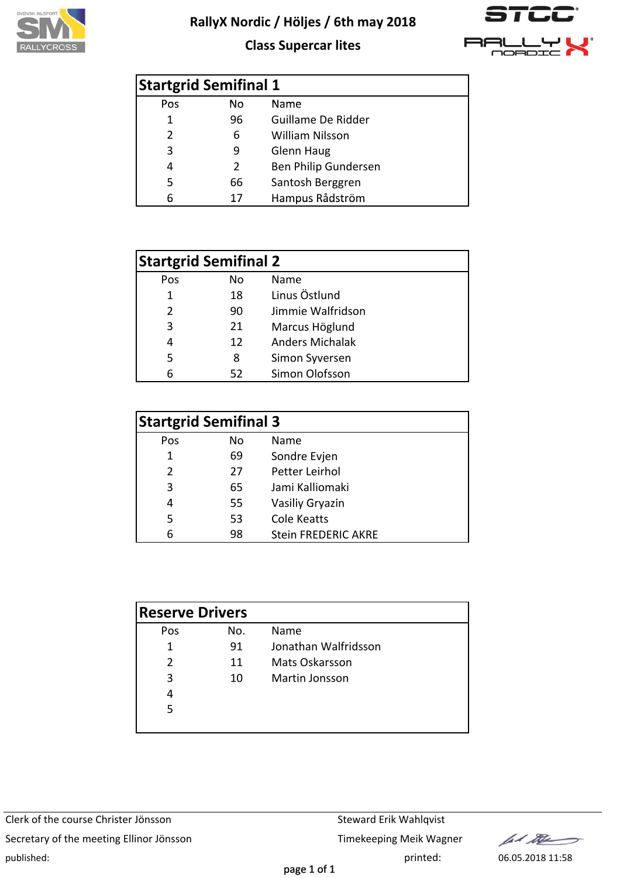





| <b>Startgrid Semifinal 1</b> |     |                        |
|------------------------------|-----|------------------------|
| Pos                          | No. | Name                   |
| 1                            | 96  | Guillame De Ridder     |
| 2                            | 6   | <b>William Nilsson</b> |
| 3                            | 9   | <b>Glenn Haug</b>      |
| 4                            | 2   | Ben Philip Gundersen   |
| 5                            | 66  | Santosh Berggren       |
| 6                            | 17  | Hampus Rådström        |

|               | <b>Startgrid Semifinal 2</b> |                        |
|---------------|------------------------------|------------------------|
| Pos           | No                           | Name                   |
| 1             | 18                           | Linus Östlund          |
| $\mathcal{P}$ | 90                           | Jimmie Walfridson      |
| 3             | 21                           | Marcus Höglund         |
| 4             | 12                           | <b>Anders Michalak</b> |
| 5             | 8                            | Simon Syversen         |
|               | 52                           | Simon Olofsson         |

| <b>Startgrid Semifinal 3</b> |    |                            |  |  |  |  |  |
|------------------------------|----|----------------------------|--|--|--|--|--|
| Pos                          | No | Name                       |  |  |  |  |  |
| 1                            | 69 | Sondre Evjen               |  |  |  |  |  |
| $\mathcal{P}$                | 27 | Petter Leirhol             |  |  |  |  |  |
| 3                            | 65 | Jami Kalliomaki            |  |  |  |  |  |
| 4                            | 55 | Vasiliy Gryazin            |  |  |  |  |  |
| 5                            | 53 | <b>Cole Keatts</b>         |  |  |  |  |  |
|                              | 98 | <b>Stein FREDERIC AKRE</b> |  |  |  |  |  |

| <b>Reserve Drivers</b> |     |                      |
|------------------------|-----|----------------------|
| Pos                    | No. | Name                 |
| 1                      | 91  | Jonathan Walfridsson |
| $\mathcal{P}$          | 11  | Mats Oskarsson       |
| 3                      | 10  | Martin Jonsson       |
| 4                      |     |                      |
| 5                      |     |                      |
|                        |     |                      |

fal the  $\rightarrow$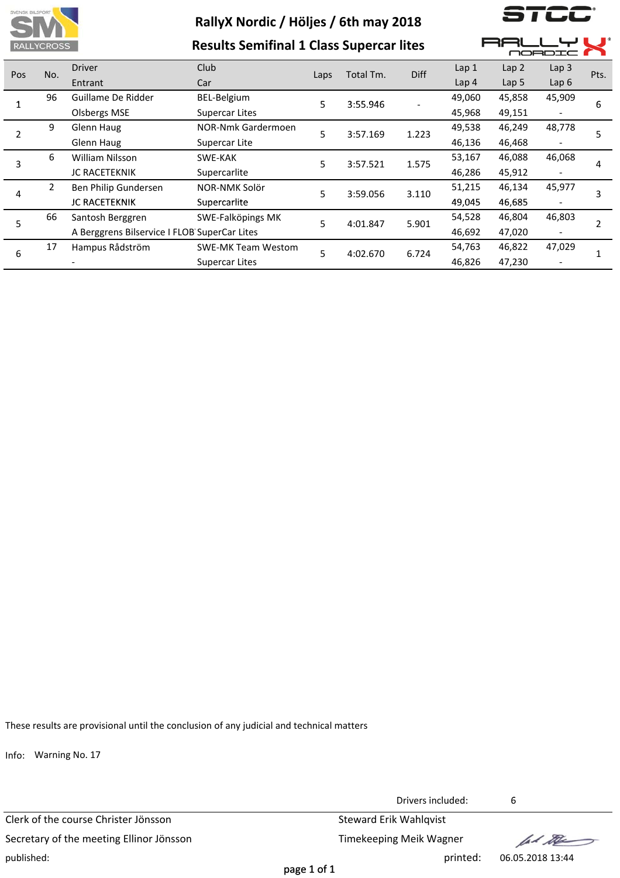

**Results Semifinal 1 Class Supercar lites**

, ,

 $\blacksquare$ 

 $\blacksquare$ 

 $\blacksquare$ 

|        | <b>KALLTURUSS</b>      |                                              | Results Semininal I Class Supercal fittes |          |           |        |                  |                  | OOBDIC           |      |
|--------|------------------------|----------------------------------------------|-------------------------------------------|----------|-----------|--------|------------------|------------------|------------------|------|
| Pos    | No.                    | <b>Driver</b>                                | Club                                      | Laps     | Total Tm. | Diff   | Lap <sub>1</sub> | Lap <sub>2</sub> | Lap <sub>3</sub> | Pts. |
|        |                        | Entrant                                      | Car                                       |          |           |        | Lap <sub>4</sub> | Lap <sub>5</sub> | Lap6             |      |
| 96     |                        | Guillame De Ridder                           | BEL-Belgium                               | 5.       | 3:55.946  |        | 49,060           | 45,858           | 45,909           | 6    |
|        | <b>Olsbergs MSE</b>    | <b>Supercar Lites</b>                        |                                           |          |           | 45,968 | 49,151           |                  |                  |      |
| 9      | Glenn Haug             | NOR-Nmk Gardermoen                           | 5                                         | 3:57.169 | 1.223     | 49,538 | 46,249           | 48,778           |                  |      |
|        | Glenn Haug             | Supercar Lite                                |                                           |          |           | 46,136 | 46,468           |                  |                  |      |
| 6<br>3 | <b>William Nilsson</b> | SWE-KAK                                      | 5                                         | 3:57.521 | 1.575     | 53,167 | 46,088           | 46,068           | 4                |      |
|        |                        | JC RACETEKNIK                                | Supercarlite                              |          |           |        | 46,286           | 45,912           |                  |      |
| 4      | $\overline{2}$         | Ben Philip Gundersen                         | NOR-NMK Solör                             | 5        | 3:59.056  | 3.110  | 51,215           | 46,134           | 45,977           |      |
|        |                        | JC RACETEKNIK                                | Supercarlite                              |          |           |        | 49,045           | 46,685           |                  |      |
| 5      | 66                     | Santosh Berggren                             | SWE-Falköpings MK                         | 5        | 4:01.847  | 5.901  | 54,528           | 46,804           | 46,803           | 2    |
|        |                        | A Berggrens Bilservice I FLOB SuperCar Lites |                                           |          |           |        | 46,692           | 47,020           |                  |      |
| 17     | Hampus Rådström        | <b>SWE-MK Team Westom</b>                    |                                           | 4:02.670 |           | 54,763 | 46,822           | 47,029           |                  |      |
| 6      |                        |                                              | <b>Supercar Lites</b>                     | 5        |           | 6.724  | 46,826           | 47,230           |                  | 1    |

These results are provisional until the conclusion of any judicial and technical matters

Info: Warning No. 17

Clerk of the course Christer Jönsson Steward Erik Wahlqvist Secretary of the meeting Ellinor Jönsson Timekeeping Meik Wagner published: printed: 06.05.2018 13:44

Drivers included: 6

fal the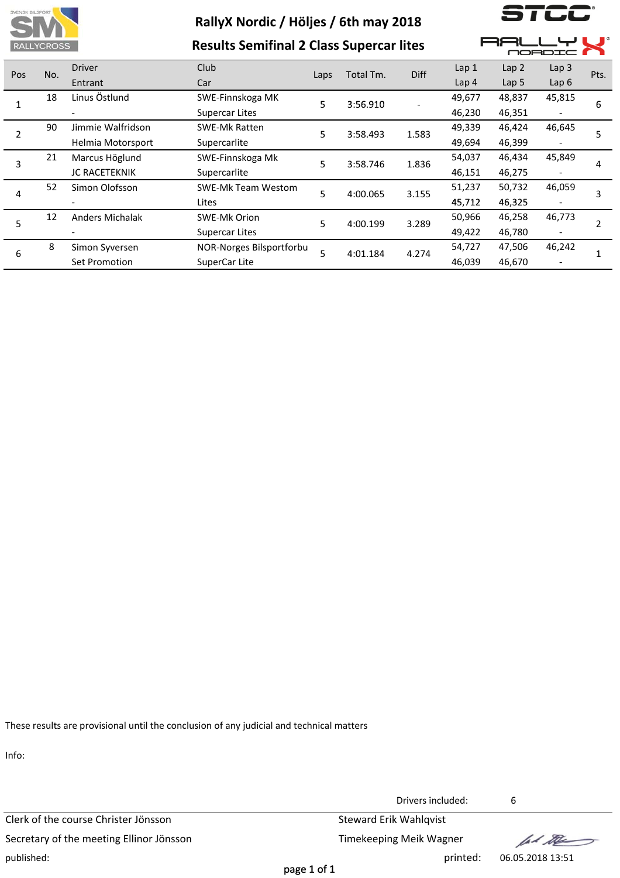

**Results Semifinal 2 Class Supercar lites**

 $\overline{\phantom{a}}$ 

**ہ ب** 

R۶ F

⊐١

|         |                   |                        |                           |          |           |        |                  |                  | NORDIC I         |                |
|---------|-------------------|------------------------|---------------------------|----------|-----------|--------|------------------|------------------|------------------|----------------|
| Pos     | No.               | <b>Driver</b>          | Club                      | Laps     | Total Tm. | Diff   | Lap <sub>1</sub> | Lap <sub>2</sub> | Lap <sub>3</sub> | Pts.           |
|         |                   | Entrant                | Car                       |          |           |        | Lap <sub>4</sub> | Lap <sub>5</sub> | Lap6             |                |
|         | 18                | Linus Östlund          | SWE-Finnskoga MK          | 5        | 3:56.910  |        | 49,677           | 48,837           | 45,815           | 6              |
|         |                   |                        | <b>Supercar Lites</b>     |          |           |        | 46,230           | 46,351           |                  |                |
| 90<br>2 | Jimmie Walfridson | <b>SWE-Mk Ratten</b>   | 5                         | 3:58.493 | 1.583     | 49,339 | 46,424           | 46,645           | 5                |                |
|         | Helmia Motorsport | Supercarlite           |                           |          |           | 49,694 | 46,399           |                  |                  |                |
| 21      | Marcus Höglund    | SWE-Finnskoga Mk       | 5                         | 3:58.746 | 1.836     | 54,037 | 46,434           | 45,849           | 4                |                |
|         | 3                 | <b>JC RACETEKNIK</b>   | Supercarlite              |          |           |        | 46,151           | 46,275           |                  |                |
| 4       | 52                | Simon Olofsson         | <b>SWE-Mk Team Westom</b> | 5        | 4:00.065  | 3.155  | 51,237           | 50,732           | 46,059           | 3              |
|         |                   |                        | Lites                     |          |           |        | 45,712           | 46,325           |                  |                |
|         | 12                | <b>Anders Michalak</b> | <b>SWE-Mk Orion</b>       | 5        | 4:00.199  | 3.289  | 50,966           | 46,258           | 46,773           | $\overline{2}$ |
| 5       |                   |                        | <b>Supercar Lites</b>     |          |           |        | 49,422           | 46,780           |                  |                |
| 8<br>6  |                   | Simon Syversen         | NOR-Norges Bilsportforbu  | 5        | 4:01.184  | 4.274  | 54,727           | 47,506           | 46,242           |                |
|         |                   | Set Promotion          | SuperCar Lite             |          |           |        | 46,039           | 46,670           |                  |                |

These results are provisional until the conclusion of any judicial and technical matters

Info:

Clerk of the course Christer Jönsson Steward Erik Wahlqvist Secretary of the meeting Ellinor Jönsson Timekeeping Meik Wagner published: printed: 06.05.2018 13:51

Drivers included: 6

let the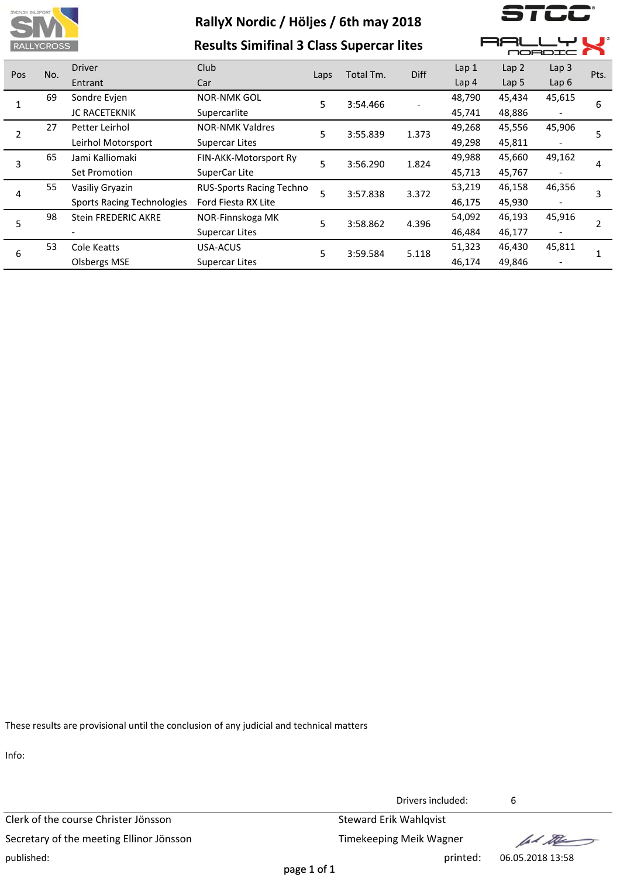

**Results Simifinal 3 Class Supercar lites**

) | LL

**AALLYL** 

 $\overline{\phantom{a}}$ 

|     |     |                                   |                          |      |           |             |                  | NORDIC I         |                  |      |
|-----|-----|-----------------------------------|--------------------------|------|-----------|-------------|------------------|------------------|------------------|------|
| Pos | No. | <b>Driver</b>                     | Club                     | Laps | Total Tm. | <b>Diff</b> | Lap <sub>1</sub> | Lap <sub>2</sub> | Lap <sub>3</sub> | Pts. |
|     |     | Entrant                           | Car                      |      |           |             | Lap <sub>4</sub> | Lap <sub>5</sub> | Lap $6$          |      |
|     | 69  | Sondre Evjen                      | <b>NOR-NMK GOL</b>       | 5    | 3:54.466  |             | 48,790           | 45,434           | 45,615           | 6    |
|     |     | <b>JC RACETEKNIK</b>              | Supercarlite             |      |           |             | 45,741           | 48,886           |                  |      |
|     | 27  | Petter Leirhol                    | <b>NOR-NMK Valdres</b>   | 5    | 3:55.839  | 1.373       | 49,268           | 45,556           | 45,906           | 5    |
|     |     | Leirhol Motorsport                | <b>Supercar Lites</b>    |      |           |             | 49,298           | 45,811           |                  |      |
| 3   | 65  | Jami Kalliomaki                   | FIN-AKK-Motorsport Ry    | 5    | 3:56.290  | 1.824       | 49,988           | 45,660           | 49,162           | 4    |
|     |     | Set Promotion                     | SuperCar Lite            |      |           |             | 45,713           | 45,767           |                  |      |
| 4   | 55  | Vasiliy Gryazin                   | RUS-Sports Racing Techno | 5    | 3:57.838  | 3.372       | 53,219           | 46,158           | 46,356           |      |
|     |     | <b>Sports Racing Technologies</b> | Ford Fiesta RX Lite      |      |           |             | 46,175           | 45,930           |                  | 3    |
| 5   | 98  | <b>Stein FREDERIC AKRE</b>        | NOR-Finnskoga MK         | 5    | 3:58.862  | 4.396       | 54,092           | 46,193           | 45,916           |      |
|     |     |                                   | <b>Supercar Lites</b>    |      |           |             | 46,484           | 46,177           |                  |      |
|     | 53  | Cole Keatts                       | USA-ACUS                 | 5    | 3:59.584  | 5.118       | 51,323           | 46,430           | 45,811           |      |
| 6   |     | <b>Olsbergs MSE</b>               | <b>Supercar Lites</b>    |      |           |             | 46,174           | 49,846           |                  |      |

These results are provisional until the conclusion of any judicial and technical matters

Info:

Clerk of the course Christer Jönsson Steward Erik Wahlqvist Secretary of the meeting Ellinor Jönsson Timekeeping Meik Wagner published: printed: 06.05.2018 13:58

Drivers included: 6

let the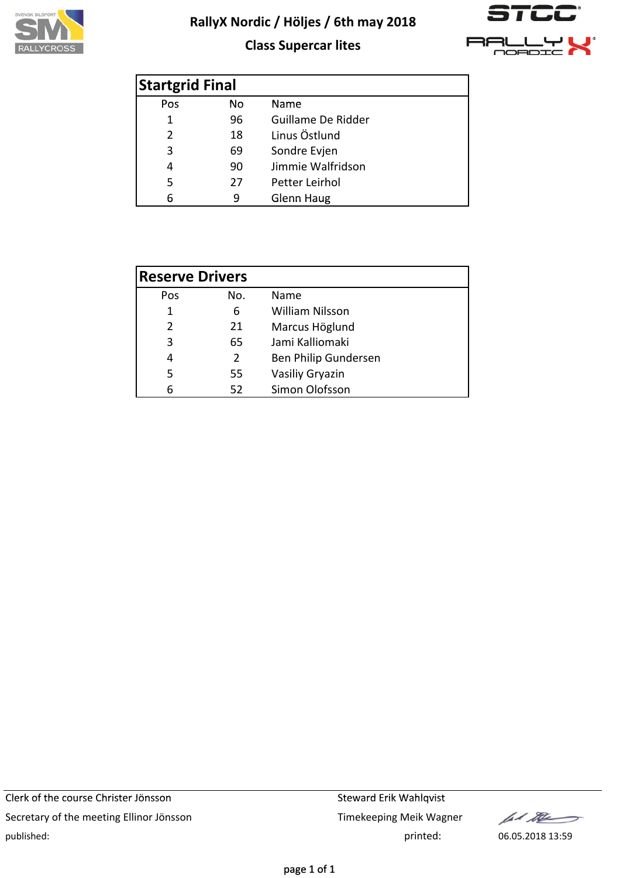

## **Class Supercar lites**



| <b>Startgrid Final</b> |     |                    |  |
|------------------------|-----|--------------------|--|
| Pos                    | No. | Name               |  |
| 1                      | 96  | Guillame De Ridder |  |
| 18<br>2                |     | Linus Östlund      |  |
| 3                      | 69  | Sondre Evjen       |  |
| 4                      | 90  | Jimmie Walfridson  |  |
| 5                      | 27  | Petter Leirhol     |  |
| 6                      | q   | Glenn Haug         |  |

| <b>Reserve Drivers</b> |    |                        |
|------------------------|----|------------------------|
| No.<br>Pos             |    | Name                   |
| 1                      | 6  | <b>William Nilsson</b> |
| $\mathcal{P}$<br>21    |    | Marcus Höglund         |
| 3                      | 65 | Jami Kalliomaki        |
| 4                      | 2  | Ben Philip Gundersen   |
| 5                      | 55 | Vasiliy Gryazin        |
| հ                      | 52 | Simon Olofsson         |

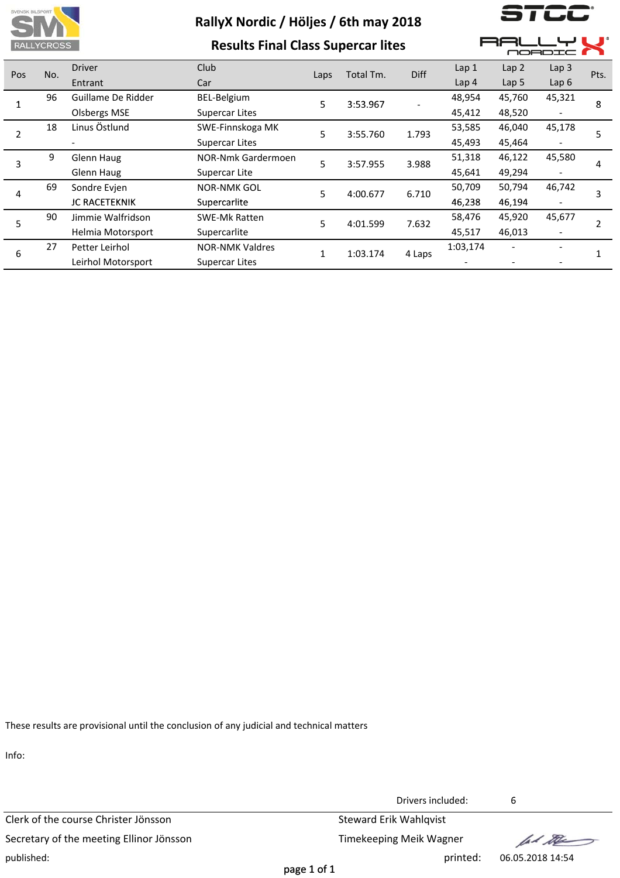

**Results Final Class Supercar lites**

1 L.L

**AALLYL** 

 $\overline{\phantom{a}}$ 

|     |     |                     |                        | - - - - - - - - |           |        |                  |                  |                          | NORDIC I |  |  |  |  |
|-----|-----|---------------------|------------------------|-----------------|-----------|--------|------------------|------------------|--------------------------|----------|--|--|--|--|
| Pos | No. | <b>Driver</b>       | Club                   | Laps            | Total Tm. | Diff   | Lap <sub>1</sub> | Lap <sub>2</sub> | Lap <sub>3</sub>         | Pts.     |  |  |  |  |
|     |     | Entrant             | Car                    |                 |           |        | Lap <sub>4</sub> | Lap <sub>5</sub> | Lap6                     |          |  |  |  |  |
|     | 96  | Guillame De Ridder  | BEL-Belgium            | 5               | 3:53.967  |        | 48,954           | 45,760           | 45,321                   | 8        |  |  |  |  |
|     |     | <b>Olsbergs MSE</b> | <b>Supercar Lites</b>  |                 |           |        | 45,412           | 48,520           |                          |          |  |  |  |  |
|     | 18  | Linus Östlund       | SWE-Finnskoga MK       | 5               | 3:55.760  | 1.793  | 53,585           | 46,040           | 45,178                   | 5        |  |  |  |  |
|     |     |                     | <b>Supercar Lites</b>  |                 |           |        | 45,493           | 45,464           |                          |          |  |  |  |  |
| 3   | 9   | Glenn Haug          | NOR-Nmk Gardermoen     | 5               | 3:57.955  | 3.988  | 51,318           | 46,122           | 45,580                   | 4        |  |  |  |  |
|     |     | Glenn Haug          | Supercar Lite          |                 |           |        | 45,641           | 49,294           |                          |          |  |  |  |  |
|     | 69  | Sondre Evjen        | <b>NOR-NMK GOL</b>     | 5               | 4:00.677  | 6.710  | 50,709           | 50,794           | 46,742                   | 3        |  |  |  |  |
| 4   |     | JC RACETEKNIK       | Supercarlite           |                 |           |        | 46,238           | 46,194           |                          |          |  |  |  |  |
| 5   | 90  | Jimmie Walfridson   | SWE-Mk Ratten          | 5               | 4:01.599  | 7.632  | 58,476           | 45,920           | 45,677                   |          |  |  |  |  |
|     |     | Helmia Motorsport   | Supercarlite           |                 |           |        | 45,517           | 46,013           | $\overline{\phantom{a}}$ |          |  |  |  |  |
|     | 27  | Petter Leirhol      | <b>NOR-NMK Valdres</b> | 1               | 1:03.174  |        | 1:03,174         |                  |                          |          |  |  |  |  |
| 6   |     | Leirhol Motorsport  | <b>Supercar Lites</b>  |                 |           | 4 Laps |                  |                  |                          |          |  |  |  |  |

These results are provisional until the conclusion of any judicial and technical matters

Info:

Clerk of the course Christer Jönsson Steward Erik Wahlqvist Secretary of the meeting Ellinor Jönsson Timekeeping Meik Wagner published: printed: 06.05.2018 14:54

Drivers included: 6

let the